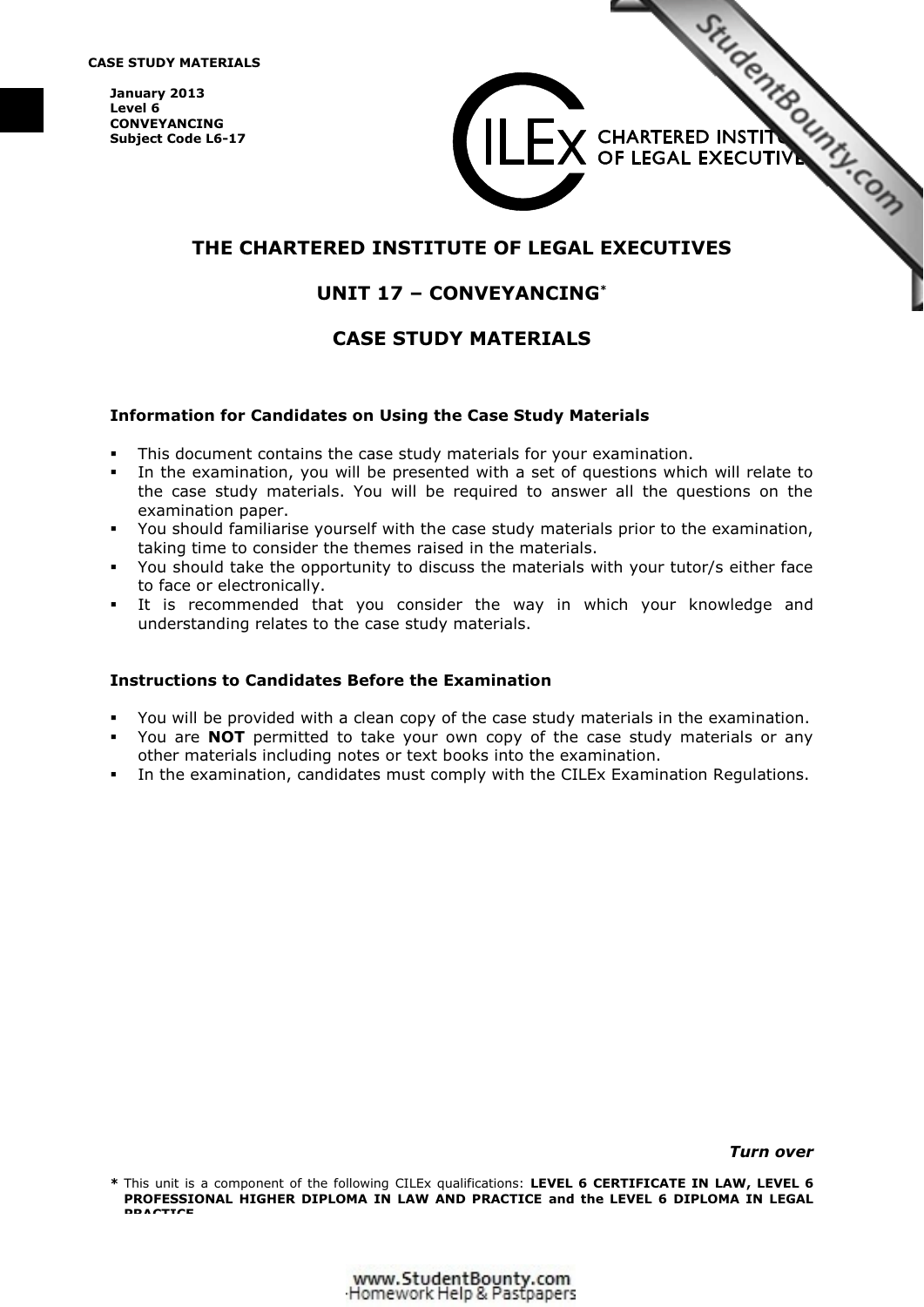**January 2013 Level 6 CONVEYANCING Subject Code L6-17** 



 $\mathsf{EX}$  CHARTERED INSTITE

OF LEGAL EXECUTIV

# **UNIT 17 – CONVEYANCING\***

# **CASE STUDY MATERIALS**

# **Information for Candidates on Using the Case Study Materials**

- -This document contains the case study materials for your examination.
- - In the examination, you will be presented with a set of questions which will relate to the case study materials. You will be required to answer all the questions on the examination paper.
- You should familiarise yourself with the case study materials prior to the examination, taking time to consider the themes raised in the materials.
- - You should take the opportunity to discuss the materials with your tutor/s either face to face or electronically.
- - It is recommended that you consider the way in which your knowledge and understanding relates to the case study materials.

# **Instructions to Candidates Before the Examination**

- -You will be provided with a clean copy of the case study materials in the examination.
- - You are **NOT** permitted to take your own copy of the case study materials or any other materials including notes or text books into the examination.
- In the examination, candidates must comply with the CILEx Examination Regulations.

**<sup>\*</sup>** This unit is a component of the following CILEx qualifications: **LEVEL 6 CERTIFICATE IN LAW, LEVEL 6 PROFESSIONAL HIGHER DIPLOMA IN LAW AND PRACTICE and the LEVEL 6 DIPLOMA IN LEGAL PRACTICE**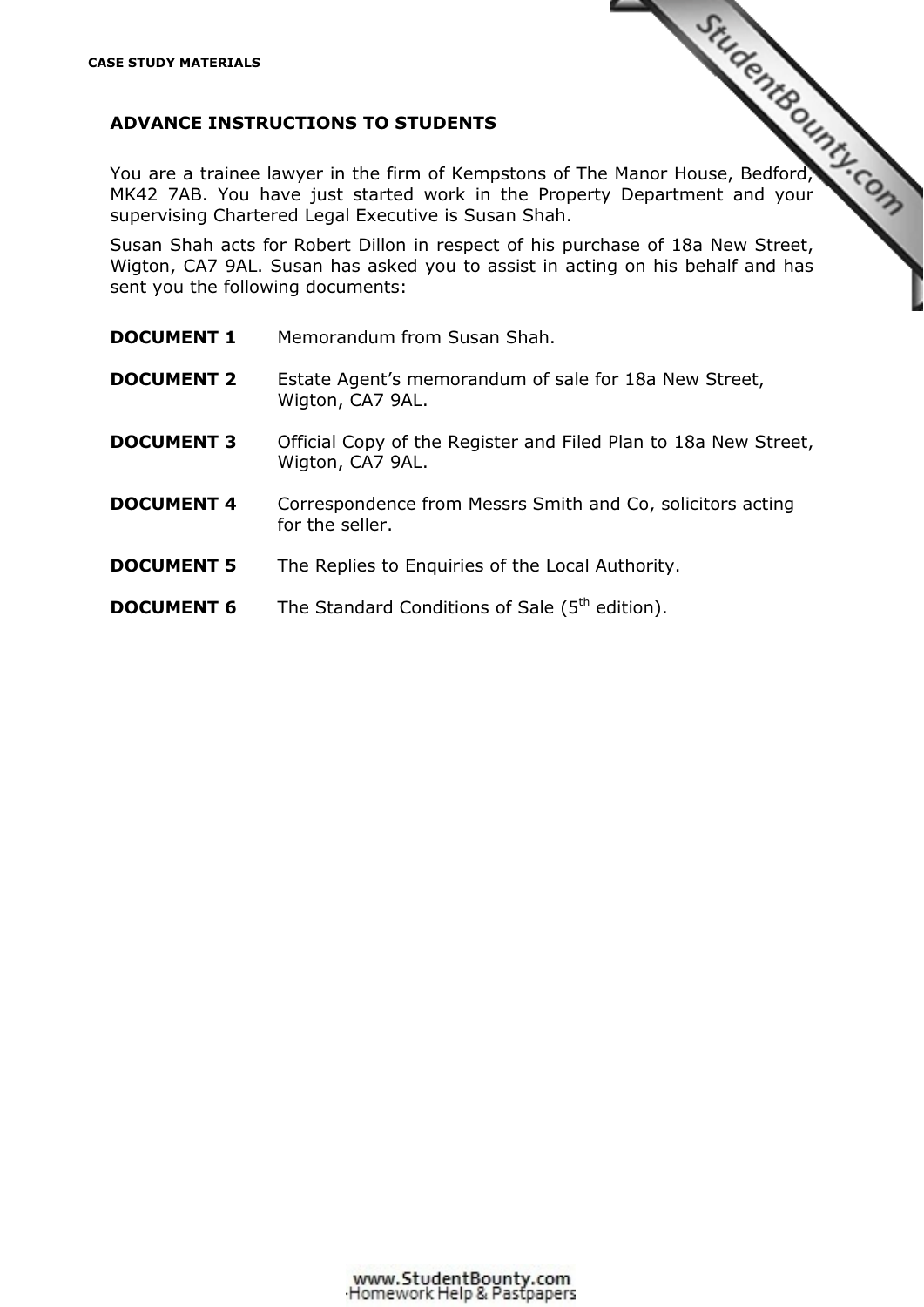# **ADVANCE INSTRUCTIONS TO STUDENTS**

SE STUDY MATERIALS<br>
You are a trainee lawyer in the firm of Kempstons of The Manor House, Bedford,<br>
The Manor House, Bedford,<br>
The Manor House, Bedford,<br>
The Manor House, Bedford,<br>
The Manor House, Bedford,<br>
The Manor Hous MK42 7AB. You have just started work in the Property Department and your supervising Chartered Legal Executive is Susan Shah.

Susan Shah acts for Robert Dillon in respect of his purchase of 18a New Street, Wigton, CA7 9AL. Susan has asked you to assist in actin[g on his behalf and has](http://www.studentbounty.com/)  sent you the following documents:

- **DOCUMENT 1** Memorandum from Susan Shah.
- **DOCUMENT 2** Estate Agent's memorandum of sale for 18a New Street, Wigton, CA7 9AL.
- **DOCUMENT 3** Official Copy of the Register and Filed Plan to 18a New Street, Wigton, CA7 9AL.
- **DOCUMENT 4** Correspondence from Messrs Smith and Co, solicitors acting for the seller.
- **DOCUMENT 5** The Replies to Enquiries of the Local Authority.
- **DOCUMENT 6** The Standard Conditions of Sale (5<sup>th</sup> edition).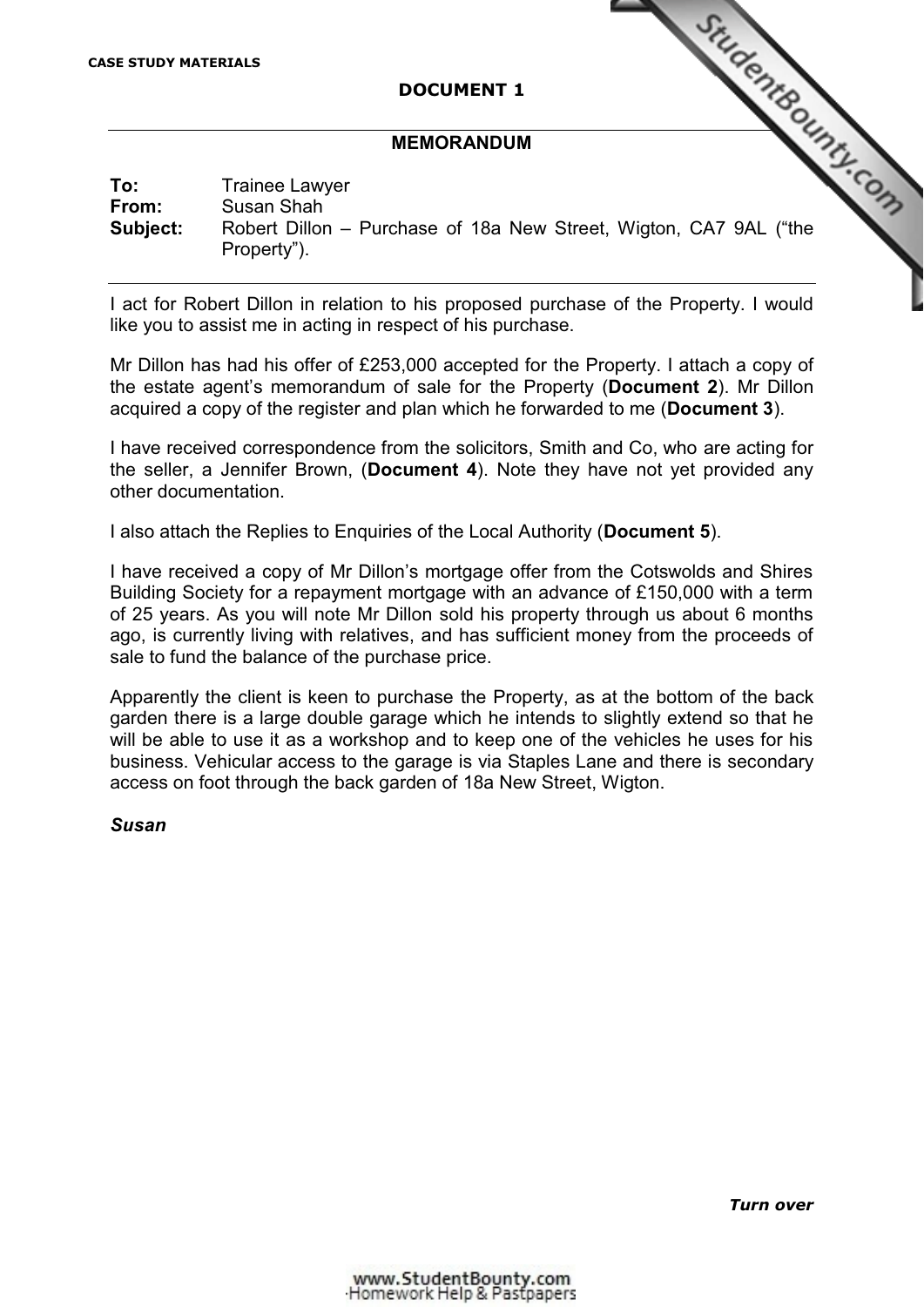# **MEMORANDUM**

**To:** Trainee Lawyer **From:** Susan Shah **SE STUDY MATERIALS**<br> **SUBJECT:**<br> **Subject:** Robert Dillon – Purchase of 18a New Street, [Wigton, CA7 9AL](http://www.studentbounty.com/) ("the<br>
Subject: Robert Dillon – Purchase of 18a New Street, Wigton, CA7 9AL ("the Property").

I act for Robert Dillon in relation to his proposed purchase of the Property. I would like you to assist me in acting in respect of his purchase.

Mr Dillon has had his offer of £253,000 accepted for the Property. I attach a copy of the estate agent's memorandum of sale for the Property (**Document 2**). Mr Dillon acquired a copy of the register and plan which he forwarded to me (**Document 3**).

I have received correspondence from the solicitors, Smith and Co, who are acting for the seller, a Jennifer Brown, (**Document 4**). Note they have not yet provided any other documentation.

I also attach the Replies to Enquiries of the Local Authority (**Document 5**).

I have received a copy of Mr Dillon's mortgage offer from the Cotswolds and Shires Building Society for a repayment mortgage with an advance of £150,000 with a term of 25 years. As you will note Mr Dillon sold his property through us about 6 months ago, is currently living with relatives, and has sufficient money from the proceeds of sale to fund the balance of the purchase price.

Apparently the client is keen to purchase the Property, as at the bottom of the back garden there is a large double garage which he intends to slightly extend so that he will be able to use it as a workshop and to keep one of the vehicles he uses for his business. Vehicular access to the garage is via Staples Lane and there is secondary access on foot through the back garden of 18a New Street, Wigton.

*Susan*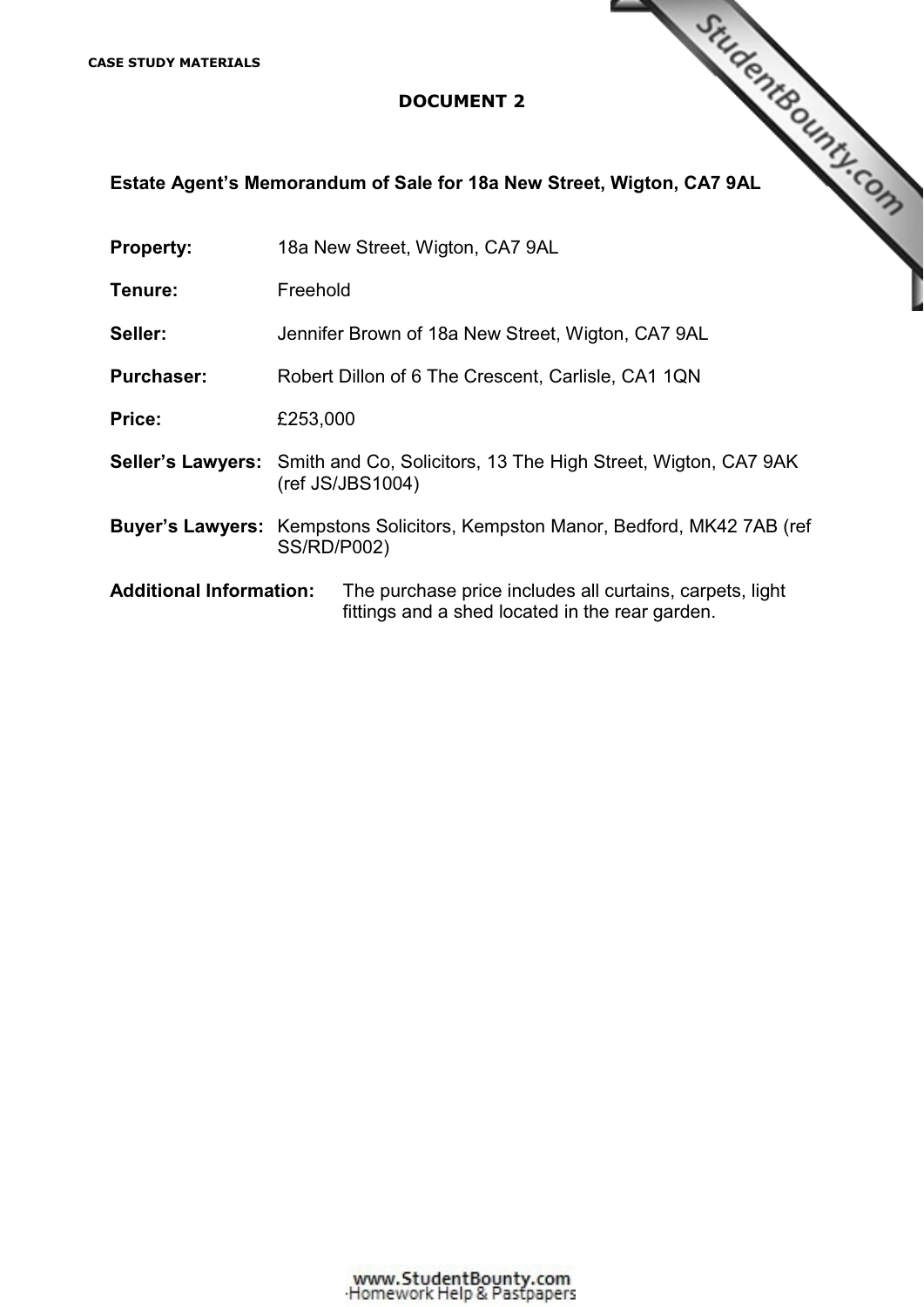# **ESTUDY MATERIALS**<br> **Estate Agent's Memorandum of Sale for 18a New Street, Wigton, CA7 9AL**

| <b>Property:</b> | 18a New Street, Wigton, CA7 9AL |  |
|------------------|---------------------------------|--|
|                  |                                 |  |

Tenure: Freehold

**Seller:** Jennifer Brown of 18a New Street, Wigton, CA7 9AL

Purchaser: Robert Dillon of 6 The Crescent, Carlisle, CA1 1QN

**Price:** £253,000

- **Seller's Lawyers:** Smith and Co, Solicitors, 13 The High Street, Wigton, CA7 9AK (ref JS/JBS1004)
- **Buyer's Lawyers:** Kempstons Solicitors, Kempston Manor, Bedford, MK42 7AB (ref SS/RD/P002)
- **Additional Information:** The purchase price includes all curtains, carpets, light fittings and a shed located in the rear garden.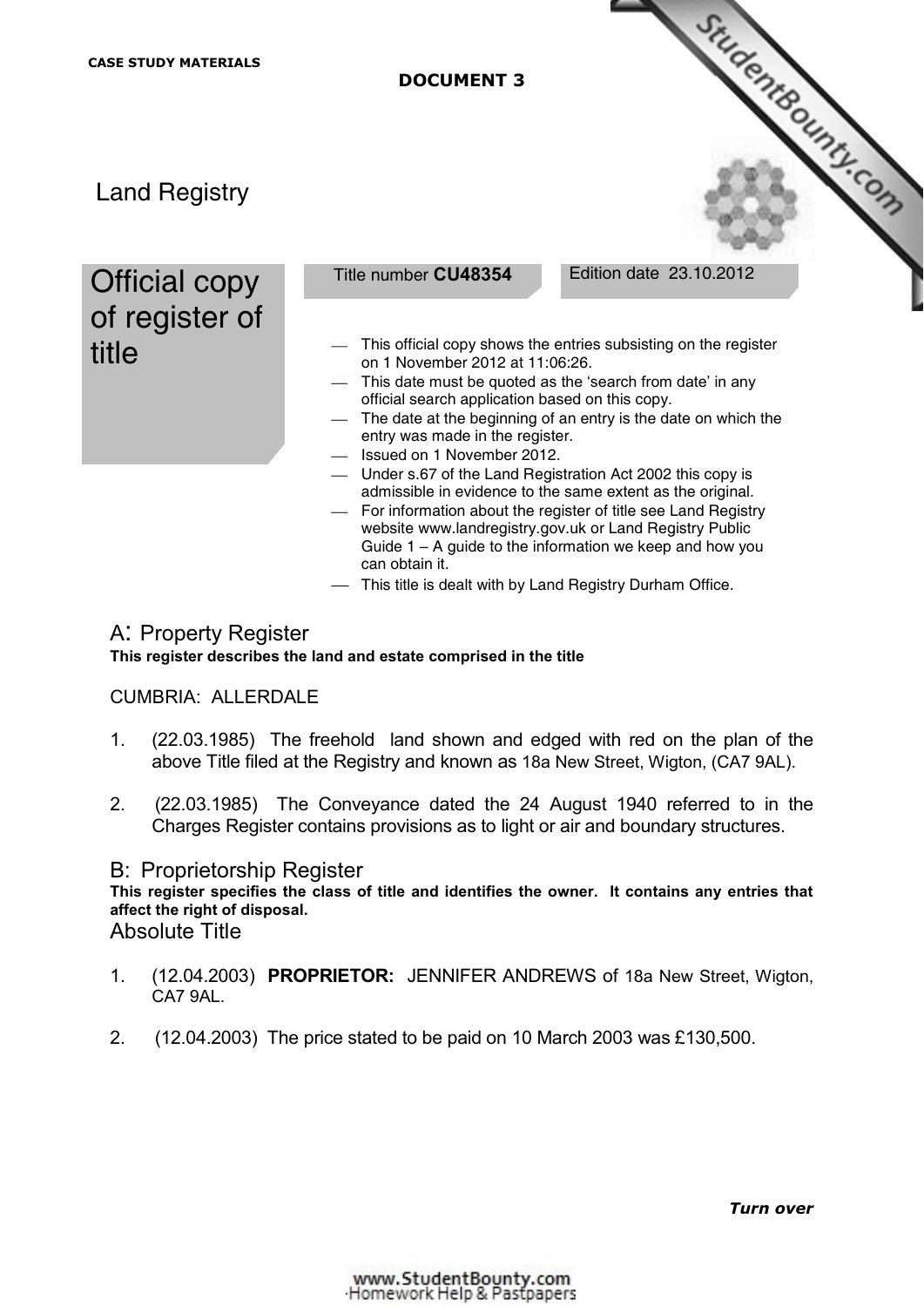| <b>CASE STUDY MATERIALS</b> | <b>DOCUMENT 3</b>                                                                                                                                                                                                                                                                                                                                                                                                                                                                                                                                                                                                                                                          | StudentBounty.com       |
|-----------------------------|----------------------------------------------------------------------------------------------------------------------------------------------------------------------------------------------------------------------------------------------------------------------------------------------------------------------------------------------------------------------------------------------------------------------------------------------------------------------------------------------------------------------------------------------------------------------------------------------------------------------------------------------------------------------------|-------------------------|
| <b>Land Registry</b>        |                                                                                                                                                                                                                                                                                                                                                                                                                                                                                                                                                                                                                                                                            |                         |
| <b>Official copy</b>        | Title number CU48354                                                                                                                                                                                                                                                                                                                                                                                                                                                                                                                                                                                                                                                       | Edition date 23.10.2012 |
| of register of              |                                                                                                                                                                                                                                                                                                                                                                                                                                                                                                                                                                                                                                                                            |                         |
| title                       | This official copy shows the entries subsisting on the register<br>on 1 November 2012 at 11:06:26.<br>This date must be quoted as the 'search from date' in any<br>official search application based on this copy.<br>The date at the beginning of an entry is the date on which the<br>entry was made in the register.<br>Issued on 1 November 2012.<br>Under s.67 of the Land Registration Act 2002 this copy is<br>admissible in evidence to the same extent as the original.<br>For information about the register of title see Land Registry<br>website www.landregistry.gov.uk or Land Registry Public<br>Guide $1 - A$ guide to the information we keep and how you |                         |

- This title is dealt with by Land Registry Durham Office.

# A: Property Register **This register describes the land and estate comprised in the title**

# CUMBRIA: ALLERDALE

- 1. (22.03.1985) The freehold land shown and edged with red on the plan of the above Title filed at the Registry and known as 18a New Street, Wigton, (CA7 9AL).
- 2. (22.03.1985) The Conveyance dated the 24 August 1940 referred to in the Charges Register contains provisions as to light or air and boundary structures.

# B: Proprietorship Register

**This register specifies the class of title and identifies the owner. It contains any entries that affect the right of disposal.** 

Absolute Title

- 1. (12.04.2003) **PROPRIETOR:** JENNIFER ANDREWS of 18a New Street, Wigton, CA7 9AL.
- 2. (12.04.2003) The price stated to be paid on 10 March 2003 was £130,500.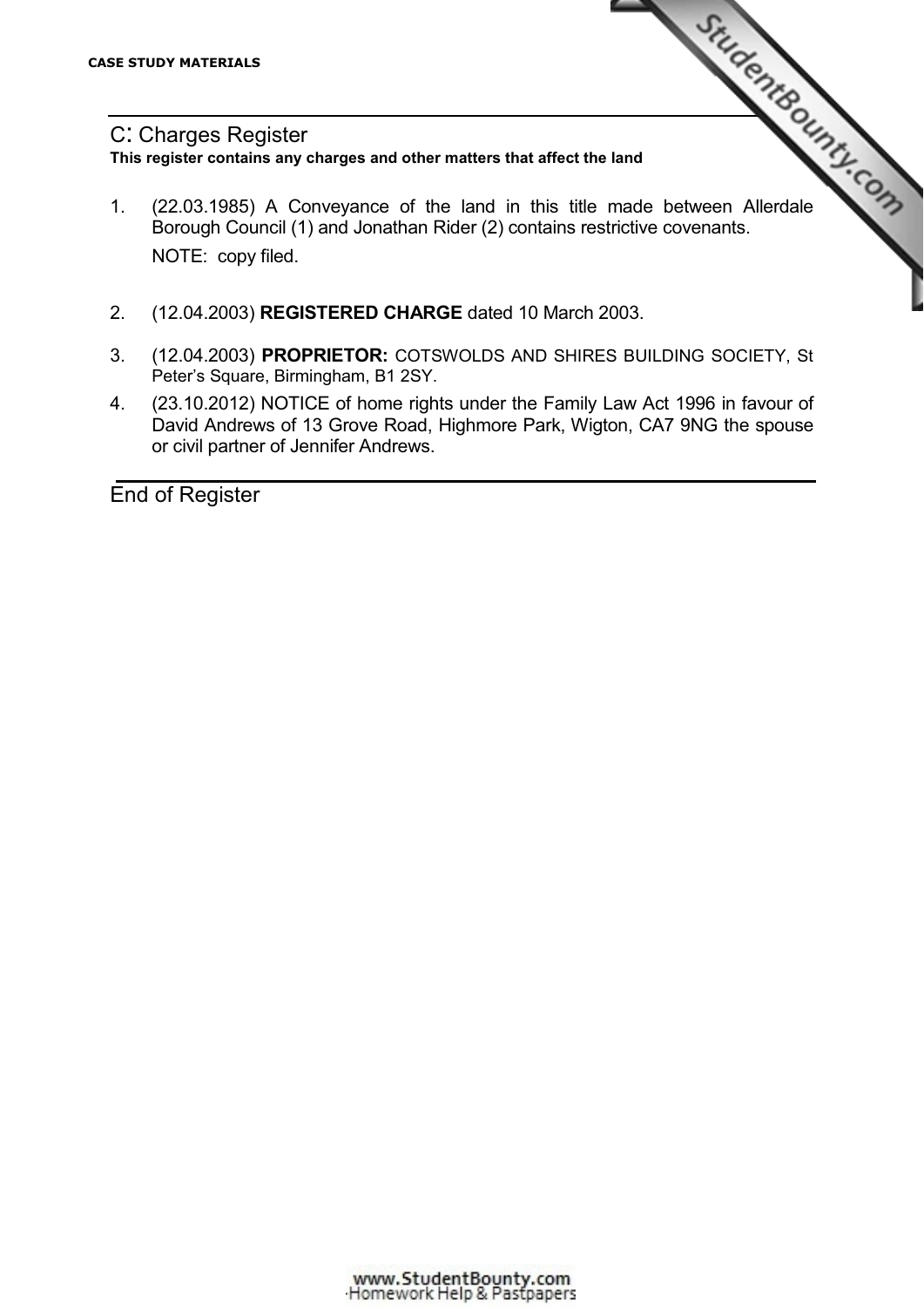# C: Charges Register

**This register contains any charges and other matters that affect the land** 

- C: Charges Register<br>This register contains any charges and other matters that affect the land<br>1. (22.03.1985) A Conveyance of the land in this title made between Allerdale<br>1. (22.03.1985) A Conveyance of the land in this t Borough Council (1) and Jonathan Rider (2) contains restrictive covenants. NOTE: copy filed.
- 2. (12.04.2003) **REGISTERED CHARGE** dated 10 March 2003.
- 3. (12.04.2003) **PROPRIETOR:** COTSWOLDS AND SHIRES BUILDING SOCIETY, St Peter's Square, Birmingham, B1 2SY.
- 4. (23.10.2012) NOTICE of home rights under the Family Law Act 1996 in favour of David Andrews of 13 Grove Road, Highmore Park, Wigton, CA7 9NG the spouse or civil partner of Jennifer Andrews.

End of Register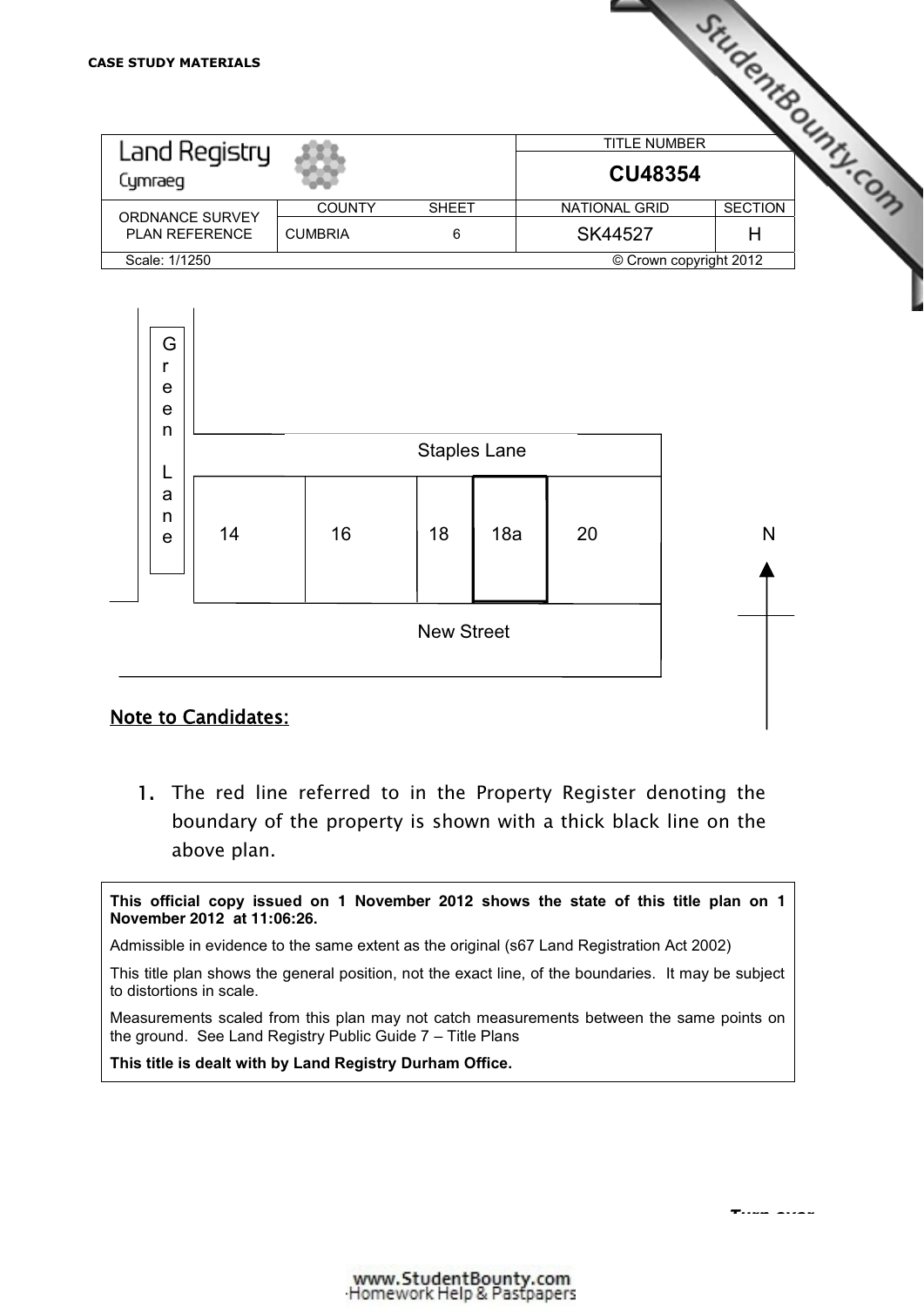| <b>CASE STUDY MATERIALS</b> |                |              |                        |                |  |
|-----------------------------|----------------|--------------|------------------------|----------------|--|
| Land Registry               |                |              | <b>TITLE NUMBER</b>    |                |  |
| Cymraeg                     |                |              | <b>CU48354</b>         |                |  |
| <b>ORDNANCE SURVEY</b>      | <b>COUNTY</b>  | <b>SHEET</b> | <b>NATIONAL GRID</b>   | <b>SECTION</b> |  |
| <b>PLAN REFERENCE</b>       | <b>CUMBRIA</b> | 6            | SK44527                | Н              |  |
| Scale: 1/1250               |                |              | © Crown copyright 2012 |                |  |



# Note to Candidates:

1. The red line referred to in the Property Register denoting the boundary of the property is shown with a thick black line on the above plan.

**This official copy issued on 1 November 2012 shows the state of this title plan on 1 November 2012 at 11:06:26.** 

Admissible in evidence to the same extent as the original (s67 Land Registration Act 2002)

This title plan shows the general position, not the exact line, of the boundaries. It may be subject to distortions in scale.

Measurements scaled from this plan may not catch measurements between the same points on the ground. See Land Registry Public Guide 7 – Title Plans

**This title is dealt with by Land Registry Durham Office.**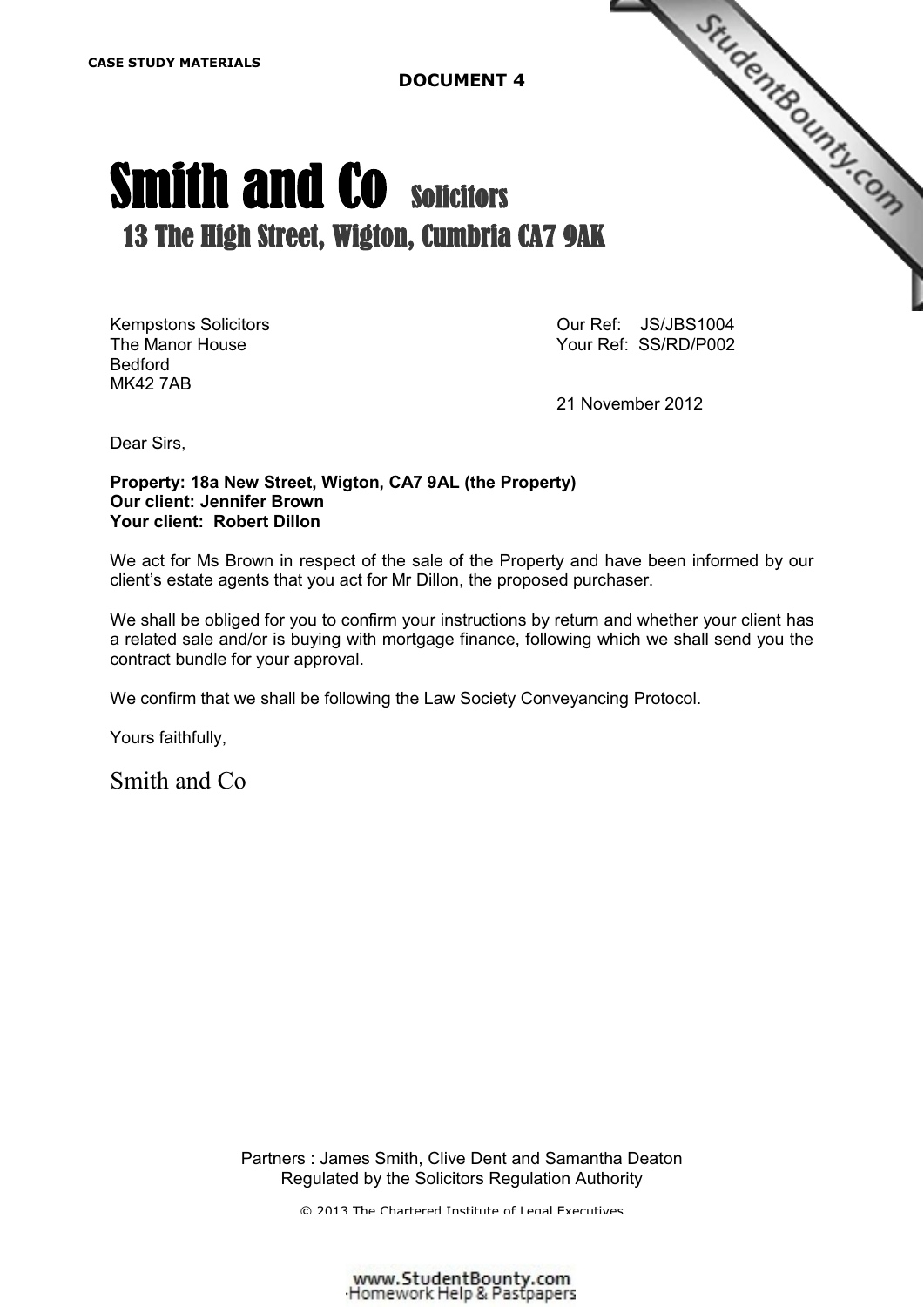# **Smith and Co Solicitors** ESTUDYMATERIALS<br>
23 The High Street, Wigton, Cumbria CA7 9AK

Bedford MK42 7AB

Kempstons Solicitors **Contract Contract Contract Contract Contract Contract Contract Contract Contract Contract Contract Contract Contract Contract Contract Contract Contract Contract Contract Contract Contract Contract Co** The Manor House Your Ref: SS/RD/P002

21 November 2012

Dear Sirs,

# **Property: 18a New Street, Wigton, CA7 9AL (the Property) Our client: Jennifer Brown Your client: Robert Dillon**

We act for Ms Brown in respect of the sale of the Property and have been informed by our client's estate agents that you act for Mr Dillon, the proposed purchaser.

We shall be obliged for you to confirm your instructions by return and whether your client has a related sale and/or is buying with mortgage finance, following which we shall send you the contract bundle for your approval.

We confirm that we shall be following the Law Society Conveyancing Protocol.

Yours faithfully,

Smith and Co.

Partners : James Smith, Clive Dent and Samantha Deaton Regulated by the Solicitors Regulation Authority

© 2013 The Chartered Institute of Legal Executives

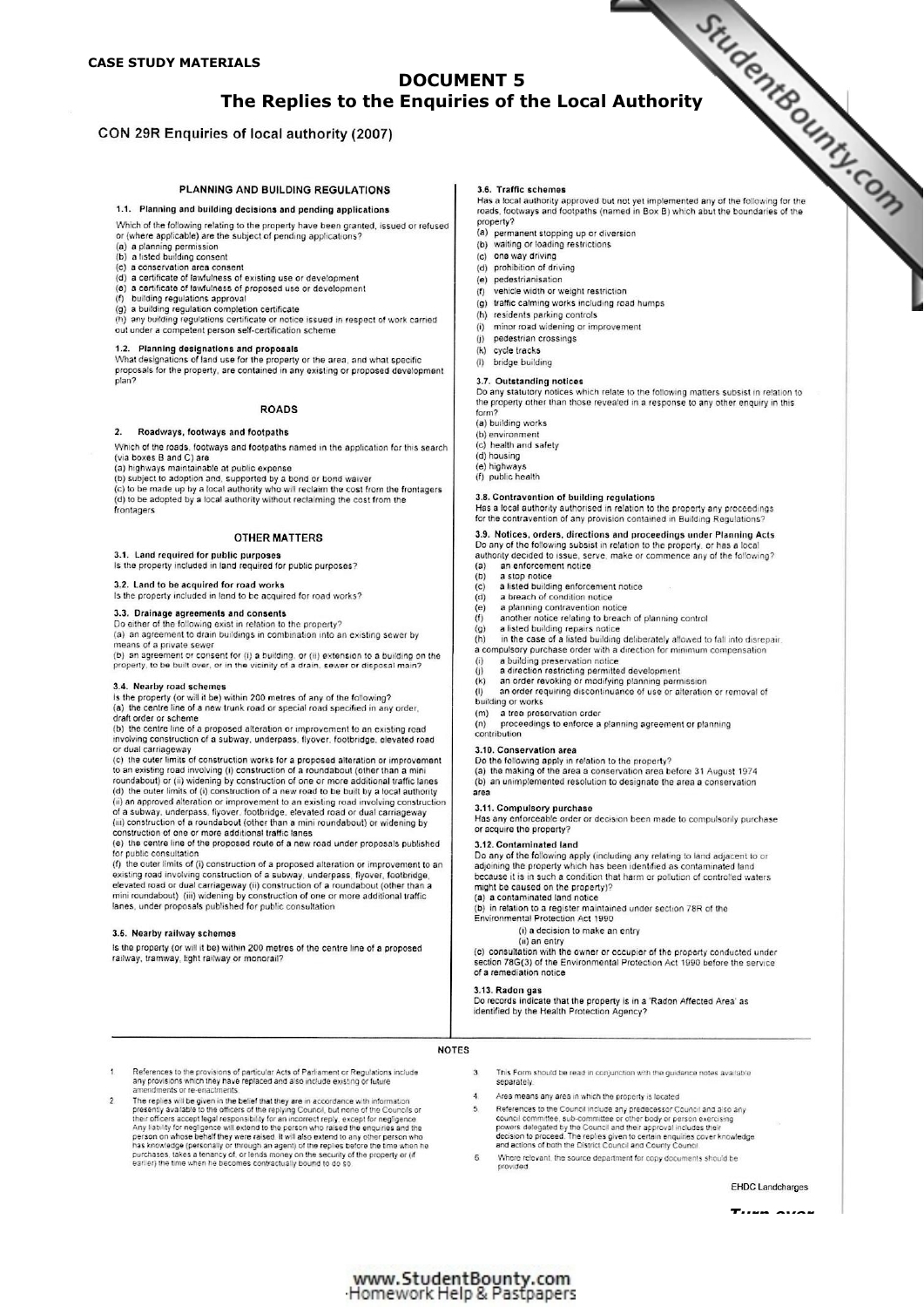# **CASE STUDY MATERIALS**

# **DOCUMENT 5 The Replies to the Enquiries of the Local Authority The Replies to the Enquiries of the Local Authority** (2007)

# CON 29R Enquiries of local authority (2007)

# PLANNING AND BUILDING REGULATIONS

# 1.1. Planning and building decisions and pending applications

Which of the following relating to the property have been granted, issued or refused<br>or (where applicable) are the subject of pending applications?

- 
- (a) a planning permission<br>(b) a listed building consent<br>(c) a conservation area consent
- 
- (d) a certificate of lawfulness of existing use or development<br>(e) a certificate of lawfulness of proposed use or development<br>(f) building regulations approval
- 
- 
- (g) a building regulation completion certificate<br>(h) any building regulations certificate or notice issued in respect of work carried out under a competent person self-certification scheme

# 1.2. Planning designations and proposals

.... rearming uses into the form of proposition of the area, and what specific<br>What designations of land use for the property or the area, and what specific<br>proposals for the property, are contained in any existing or prop plan?

# **ROADS**

# 2. Roadways, footways and footpaths

Which of the roads, footways and footpaths named in the application for this search (via boxes B and C) are

(a) highways maintainable at public expense

(b) subject to adoption and, supported by a bond or bond waiver<br>(c) to be made up by a local authority who will reclaim the cost from the frontagers

(d) to be adopted by a local authority without reclaiming the cost from the frontagers

# **OTHER MATTERS**

3.1. Land required for public purposes<br>Is the property included in land required for public purposes?

3.2. Land to be acquired for road works

Is the property included in land to be acquired for road works?

3.3. Drainage agreements and consents<br>Do either of the following exist in relation to the property?

(a) an agreement to drain buildings in combination into an existing sewer by means of a private sewer

means of a private sewer<br>(b) an agreement or consent for (i) a building, or (ii) extension to a building on the<br>property, to be built over, or in the vicinity of a drain, sewer or disposal main?

3.4. Nearby road schemes<br>Is the property (or will it be) within 200 metres of any of the following?<br>(a) the centre line of a new trunk road or special road specified in any order,

draft order or scheme<br>(b) the centre line of a proposed alteration or improvement to an existing road involving construction of a subway, underpass, flyover, footbridge, elevated road<br>or dual carriageway<br>(c) the outer limits of construction works for a proposed alteration or improvement

(c) the outer limits of construction works for a proposed alteration or improvement<br>to an existing road involving (i) construction of a roundabout (other than a mini<br>roundabout) or (ii) widening by construction of one or m (iii) construction of a roundabout (other than a mini roundabout) or widening by<br>construction of a roundabout (other than a mini roundabout) or widening by<br>construction of one or more additional traffic lanes

(e) the centre line of the proposed route of a new road under proposals published

for public consultation<br>(f) the outer limits of (i) construction of a proposed alteration or improvement to an existing road involving construction of a subway, underpass, flyover, footbridge,<br>existing road involving construction of a subway, underpass, flyover, footbridge,<br>elevated road or dual carriageway (ii) construction of a r mini roundabout) (iii) widening by construction of one or more additional traffic<br>lanes, under proposals published for public consultation

### 3.5. Nearby railway schemes

Is the property (or will it be) within 200 metres of the centre line of a proposed railway, tramway, light railway or monorail?

# 3.6. Traffic schemes

Has a local authority approved but not yet implemented any of the following for the roads, footways and footpaths (named in Box B) which abut the boundaries of the property?

(a) permanent stopping up or diversion<br>(b) waiting or loading restrictions

- 
- (c) one way driving<br>(d) prohibition of driving
- pedestrianisation  $(e)$
- $(f)$
- vehicle width or weight restriction traffic calming works including road humps  $(a)$
- (h) residents parking controls
- minor road widening or improvement  $(i)$
- pedestrian crossings  $(i)$
- (k) cycle tracks
- $(1)$ bridge building

3.7. Outstanding notices<br>Do any statutory notices which relate to the following matters subsist in relation to<br>the property other than those revealed in a response to any other enquiry in this  $form<sub>2</sub>$ 

# (a) building works

- (b) environment<br>(c) health and safety
- (d) housing
- (e) highways<br>(f) public health
- 

# 3.8. Contravention of building regulations

Has a local authority authorised in relation to the property any proceedings for the contravention of any provision contained in Building Regulations?

# 3.9. Notices, orders, directions and proceedings under Planning Acts<br>Do any of the following subsist in relation to the property, or has a local

authority decided to issue, serve, make or commence any of the following? an enforcement notice<br>a stop notice

- $(b)$
- a listed building enforcement notice  $(c)$
- a breach of condition notice
- $\begin{pmatrix} 1 & 0 \\ 0 & 0 \\ 0 & 0 \\ 0 & 0 \end{pmatrix}$ a planning contravention notice
	- another notice relating to breach of planning control<br>a listed building repairs notice
- $(q)$ a insect unit of the case of a listed building deliberately allowed to fall into disrepair.<br>In the case of a listed building deliberately allowed to fall into disrepair.  $\frac{h}{a}$
- 
- $\stackrel{(i)}{(j)}$
- a building preservation notice<br>a direction restricting permitted development<br>an order revoking or modifying planning permission

an order requiring discontinuance of use or alteration or removal of  $(1)$ building or works

- $(m)$ a tree preservation order
- proceedings to enforce a planning agreement or planning  $(n)$

# contribution

# 3.10. Conservation area

- Do the following apply in relation to the property?<br>
(a) the making of the area a conservation area before 31 August 1974 (b) an unimplemented resolution to designate the area a conservation
- 

3.11. Compulsory purchase<br>Has any enforceable order or decision been made to compulsorily purchase<br>or acquire the property?

3.12. Contaminated land<br>Do any of the following apply (including any relating to land adjacent to or<br>adjoining the property which has been identified as contaminated land<br>because it is in such a condition that harm or poll

might be caused on the property)?<br>
(a) a contaminated land notice<br>
(b) in relation to a register maintained under section 78R of the Environmental Protection Act 1990

(i) a decision to make an entry

(i) an entry<br>
(c) consultation with the owner or occupier of the property conducted under<br>
section 78G(3) of the Environmental Protection Act 1990 before the service<br>
of a remediation notice

### 3.13. Radon gas

Do records indicate that the property is in a 'Radon Affected Area' as identified by the Health Protection Agency?

References to the provisions of particular Acts of Parliament or Regulations include<br>any provisions which they have replaced and also include existing or future<br>amendments or re-enactments.

amendments or re-enactments.<br>The replies will be gliven in the belief that they are in accordance with information<br>presently available to the officers of the replying Council, but none of the Councils or<br>their officers acc  $\overline{2}$ 

This Form should be read in conjunction with the guidance notes available  $\overline{\mathbf{3}}$ separately.

- Area means any area in which the property is located
- Area means any area in which the property is tocated<br>References to the Council include any predecessor Council and also any<br>Council committee, sub-committee or other body or person exercising<br>powers delegated by the Counci  $\mathbf{r}$
- Where relevant, the source department for copy documents should be  $\overline{6}$ provided

# **EHDC Landcharges**

*Turn over*

# www.StudentBounty.com<br>Homework Help & Pastpapers

**NOTES**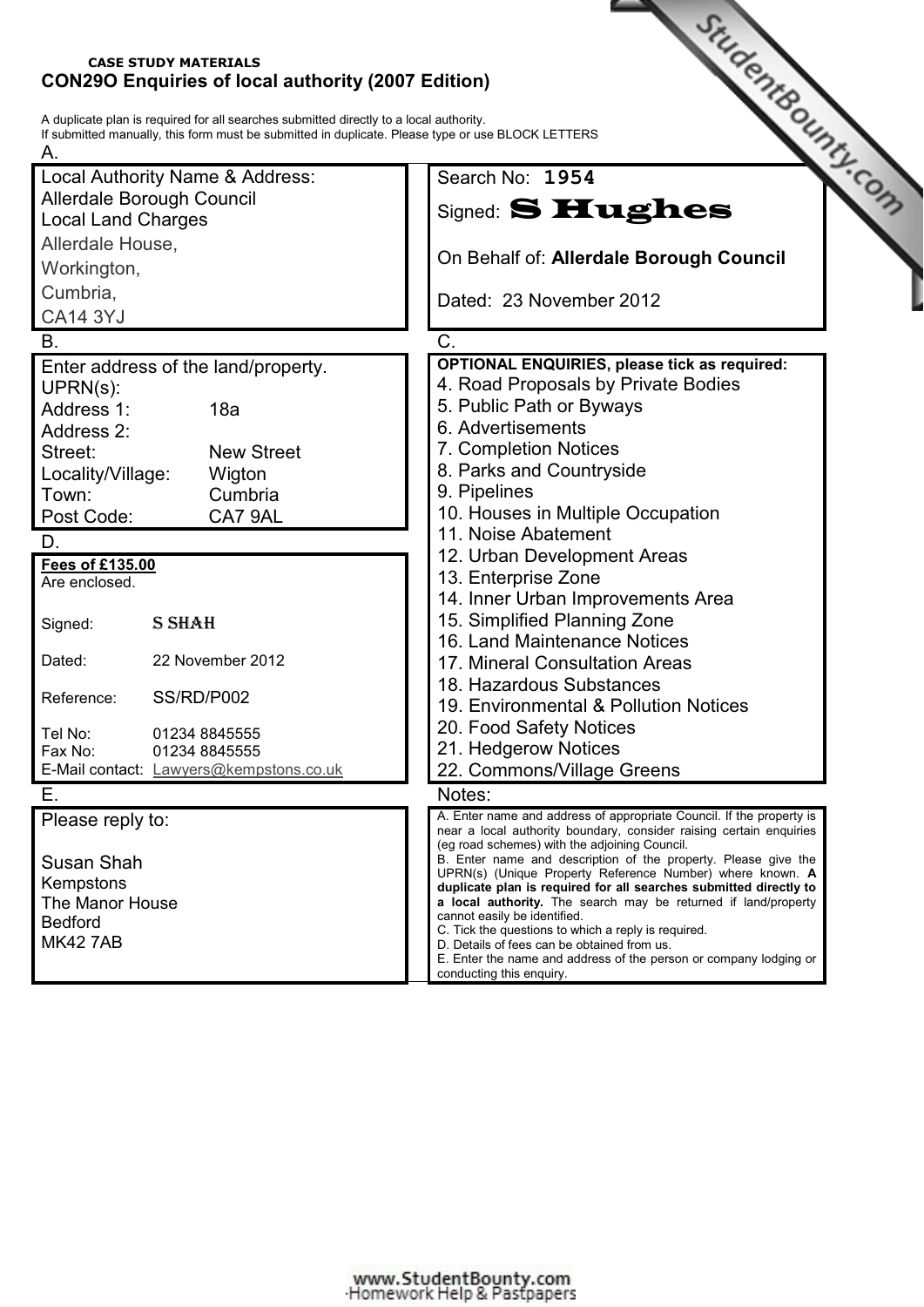# **CASE STUDY MATERIALS CON29O Enquiries of local authority (2007 Edition)**

A duplicate plan is required for all searches submitted directly to a local authority. If submitted manually, this form must be submitted in duplicate. Please type or use BLOCK LETTERS

| А.                        |                                         |                                                                                                                                |
|---------------------------|-----------------------------------------|--------------------------------------------------------------------------------------------------------------------------------|
|                           | Local Authority Name & Address:         | INS.COM<br>Search No: 1954                                                                                                     |
|                           | Allerdale Borough Council               | Signed: S Hughes                                                                                                               |
| <b>Local Land Charges</b> |                                         |                                                                                                                                |
| Allerdale House,          |                                         |                                                                                                                                |
| Workington,               |                                         | On Behalf of: Allerdale Borough Council                                                                                        |
| Cumbria,                  |                                         |                                                                                                                                |
| <b>CA14 3YJ</b>           |                                         | Dated: 23 November 2012                                                                                                        |
| В.                        |                                         | C.                                                                                                                             |
|                           | Enter address of the land/property.     | <b>OPTIONAL ENQUIRIES, please tick as required:</b>                                                                            |
| UPRN(s):                  |                                         | 4. Road Proposals by Private Bodies                                                                                            |
| Address 1:                | 18a                                     | 5. Public Path or Byways                                                                                                       |
| Address 2:                |                                         | 6. Advertisements                                                                                                              |
| Street:                   | <b>New Street</b>                       | 7. Completion Notices                                                                                                          |
| Locality/Village:         | Wigton                                  | 8. Parks and Countryside                                                                                                       |
| Town:                     | Cumbria                                 | 9. Pipelines                                                                                                                   |
| Post Code:                | CA7 9AL                                 | 10. Houses in Multiple Occupation                                                                                              |
| D.                        |                                         | 11. Noise Abatement                                                                                                            |
| Fees of £135.00           |                                         | 12. Urban Development Areas                                                                                                    |
| Are enclosed.             |                                         | 13. Enterprise Zone                                                                                                            |
|                           |                                         | 14. Inner Urban Improvements Area                                                                                              |
| Signed:                   | <b>S SHAH</b>                           | 15. Simplified Planning Zone                                                                                                   |
|                           |                                         | 16. Land Maintenance Notices                                                                                                   |
| Dated:                    | 22 November 2012                        | 17. Mineral Consultation Areas                                                                                                 |
|                           |                                         | 18. Hazardous Substances                                                                                                       |
| Reference:                | SS/RD/P002                              | 19. Environmental & Pollution Notices                                                                                          |
| Tel No:                   | 01234 8845555                           | 20. Food Safety Notices                                                                                                        |
| Fax No:                   | 01234 8845555                           | 21. Hedgerow Notices                                                                                                           |
|                           | E-Mail contact: Lawyers@kempstons.co.uk | 22. Commons/Village Greens                                                                                                     |
| Е.                        |                                         | Notes:                                                                                                                         |
| Please reply to:          |                                         | A. Enter name and address of appropriate Council. If the property is                                                           |
|                           |                                         | near a local authority boundary, consider raising certain enquiries<br>(eg road schemes) with the adjoining Council.           |
| Susan Shah                |                                         | B. Enter name and description of the property. Please give the                                                                 |
| Kempstons                 |                                         | UPRN(s) (Unique Property Reference Number) where known. A<br>duplicate plan is required for all searches submitted directly to |
| The Manor House           |                                         | a local authority. The search may be returned if land/property                                                                 |
| <b>Bedford</b>            |                                         | cannot easily be identified.<br>C. Tick the questions to which a reply is required.                                            |
| <b>MK427AB</b>            |                                         | D. Details of fees can be obtained from us.                                                                                    |
|                           |                                         | E. Enter the name and address of the person or company lodging or                                                              |

conducting this enquiry.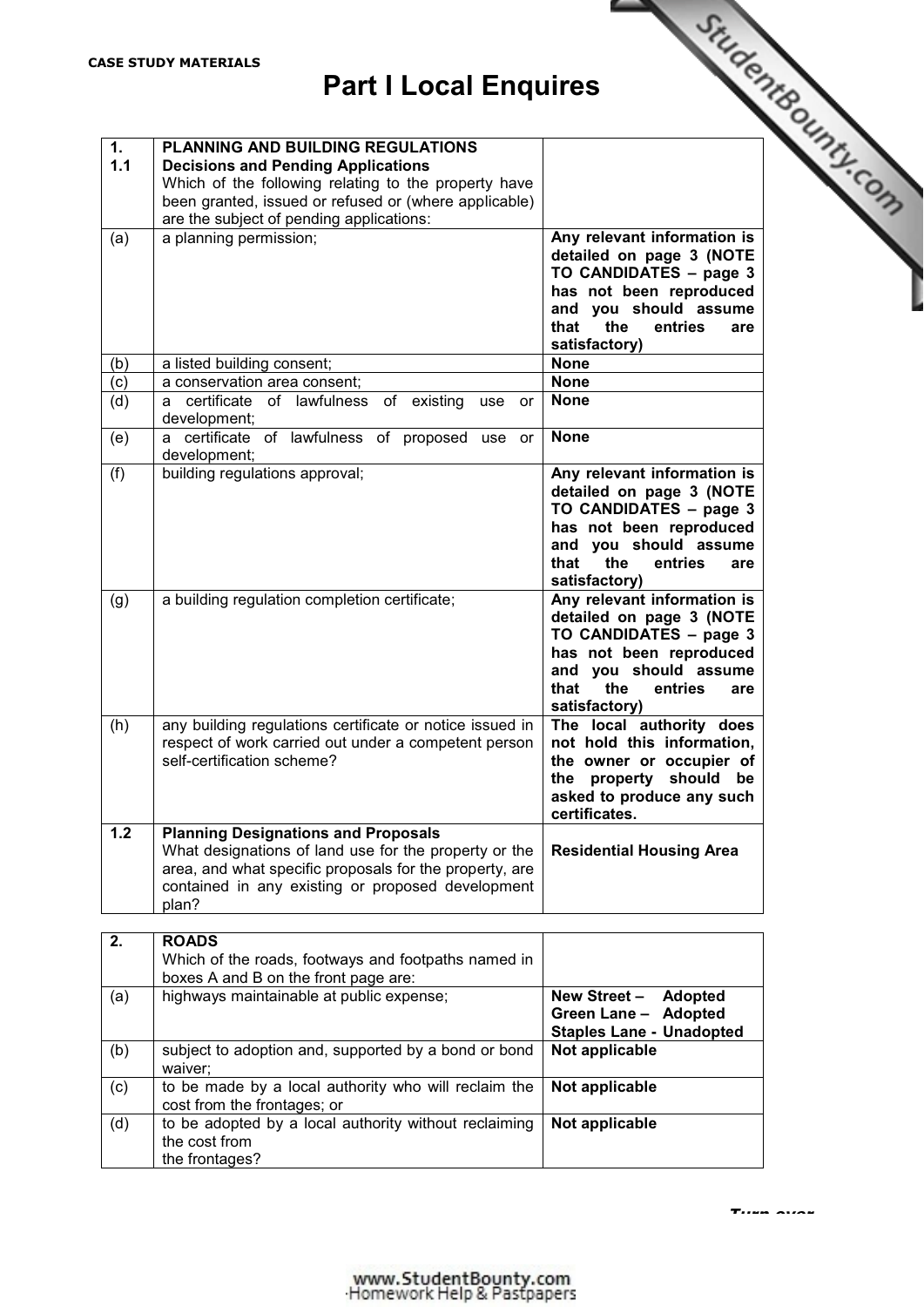the frontages?

# **Part I Local Enquires**

| 1.<br>1.1 | PLANNING AND BUILDING REGULATIONS<br><b>Decisions and Pending Applications</b><br>Which of the following relating to the property have<br>been granted, issued or refused or (where applicable)<br>are the subject of pending applications: |                                                                                                                                                                                         |
|-----------|---------------------------------------------------------------------------------------------------------------------------------------------------------------------------------------------------------------------------------------------|-----------------------------------------------------------------------------------------------------------------------------------------------------------------------------------------|
| (a)       | a planning permission;                                                                                                                                                                                                                      | Any relevant information is<br>detailed on page 3 (NOTE<br>TO CANDIDATES - page 3<br>has not been reproduced<br>and you should assume<br>the<br>that<br>entries<br>are<br>satisfactory) |
| (b)       | a listed building consent;                                                                                                                                                                                                                  | <b>None</b>                                                                                                                                                                             |
| (c)       | a conservation area consent;                                                                                                                                                                                                                | <b>None</b>                                                                                                                                                                             |
| (d)       | a certificate of lawfulness of existing<br>use<br>or<br>development;                                                                                                                                                                        | <b>None</b>                                                                                                                                                                             |
| (e)       | a certificate of lawfulness of proposed use<br>or<br>development;                                                                                                                                                                           | <b>None</b>                                                                                                                                                                             |
| (f)       | building regulations approval;                                                                                                                                                                                                              | Any relevant information is<br>detailed on page 3 (NOTE<br>TO CANDIDATES - page 3<br>has not been reproduced<br>and you should assume<br>the<br>entries<br>that<br>are<br>satisfactory) |
| (g)       | a building regulation completion certificate;                                                                                                                                                                                               | Any relevant information is<br>detailed on page 3 (NOTE<br>TO CANDIDATES - page 3<br>has not been reproduced<br>and you should assume<br>that<br>the<br>entries<br>are<br>satisfactory) |
| (h)       | any building regulations certificate or notice issued in<br>respect of work carried out under a competent person<br>self-certification scheme?                                                                                              | The local authority does<br>not hold this information,<br>the owner or occupier of<br>the property should<br>be<br>asked to produce any such<br>certificates.                           |
| 1.2       | <b>Planning Designations and Proposals</b><br>What designations of land use for the property or the<br>area, and what specific proposals for the property, are<br>contained in any existing or proposed development<br>plan?                | <b>Residential Housing Area</b>                                                                                                                                                         |
| 2.        | <b>ROADS</b><br>Which of the roads, footways and footpaths named in<br>boxes A and B on the front page are:                                                                                                                                 |                                                                                                                                                                                         |
| (a)       | highways maintainable at public expense;                                                                                                                                                                                                    | New Street -<br><b>Adopted</b><br>Green Lane - Adopted<br><b>Staples Lane - Unadopted</b>                                                                                               |
| (b)       | subject to adoption and, supported by a bond or bond<br>waiver:                                                                                                                                                                             | Not applicable                                                                                                                                                                          |
| (c)       | to be made by a local authority who will reclaim the<br>cost from the frontages; or                                                                                                                                                         | Not applicable                                                                                                                                                                          |
| (d)       | to be adopted by a local authority without reclaiming<br>the cost from                                                                                                                                                                      | Not applicable                                                                                                                                                                          |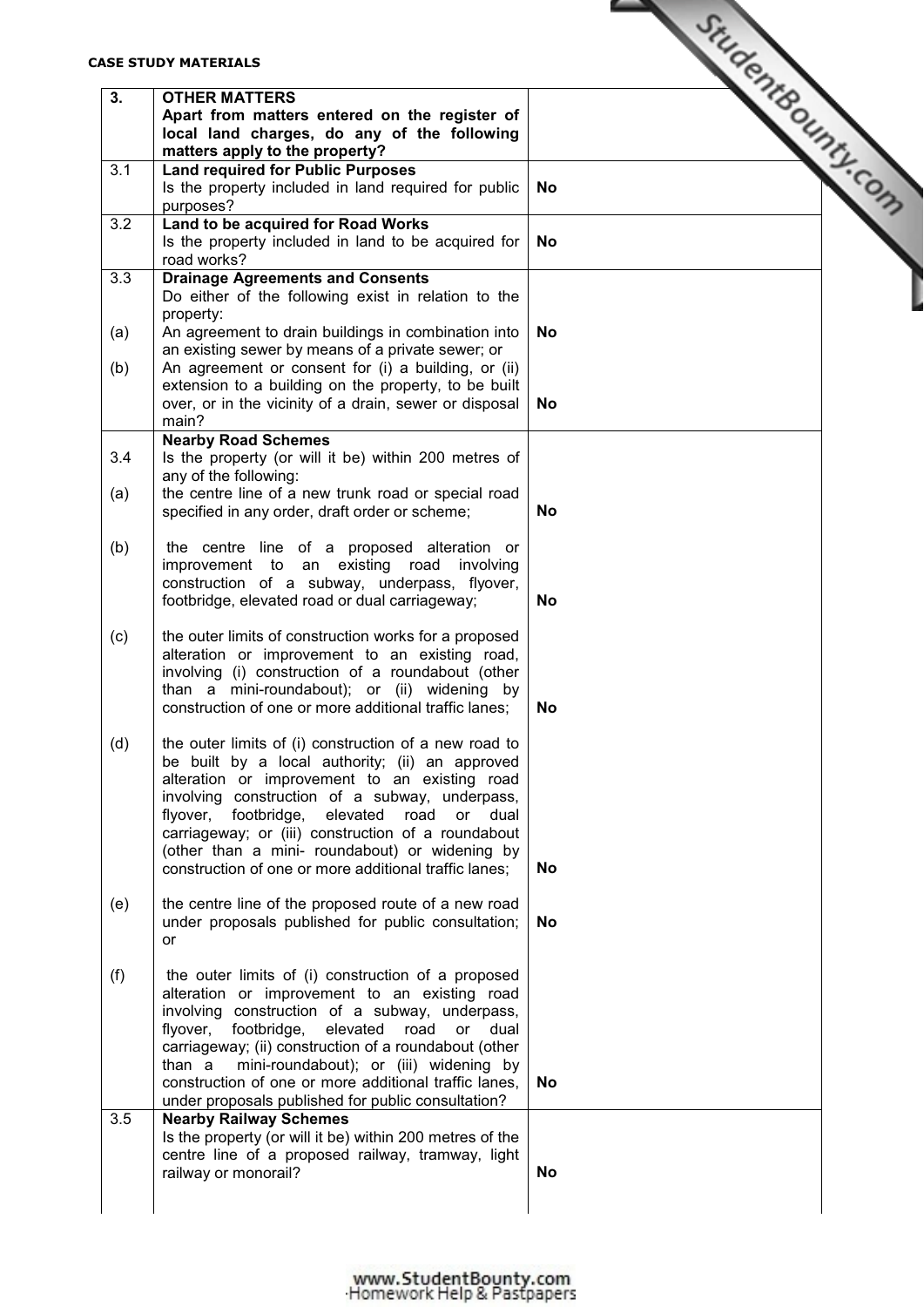| StudentBounty-Com<br>Apart from matters entered on the register of<br>local land charges, do any of the following<br>matters apply to the property?<br><b>Land required for Public Purposes</b><br>Is the property included in land required for public<br><b>No</b><br>purposes?<br>Land to be acquired for Road Works<br>Is the property included in land to be acquired for<br>No<br>road works?<br><b>Drainage Agreements and Consents</b><br>Do either of the following exist in relation to the<br>property:<br>An agreement to drain buildings in combination into<br>No<br>an existing sewer by means of a private sewer; or<br>An agreement or consent for (i) a building, or (ii)<br>extension to a building on the property, to be built<br>over, or in the vicinity of a drain, sewer or disposal<br>No<br>main?<br><b>Nearby Road Schemes</b><br>Is the property (or will it be) within 200 metres of<br>any of the following:<br>the centre line of a new trunk road or special road<br>specified in any order, draft order or scheme;<br>No<br>the centre line of a proposed alteration or<br>improvement to an existing road involving<br>construction of a subway, underpass, flyover,<br>footbridge, elevated road or dual carriageway;<br>No<br>the outer limits of construction works for a proposed<br>alteration or improvement to an existing road,<br>involving (i) construction of a roundabout (other<br>than a mini-roundabout); or (ii) widening<br>by<br>construction of one or more additional traffic lanes;<br>No<br>the outer limits of (i) construction of a new road to<br>be built by a local authority; (ii) an approved<br>alteration or improvement to an existing road<br>involving construction of a subway, underpass,<br>footbridge,<br>elevated<br>flyover,<br>road<br><b>or</b><br>dual<br>carriageway; or (iii) construction of a roundabout<br>(other than a mini- roundabout) or widening by<br>construction of one or more additional traffic lanes;<br><b>No</b><br>the centre line of the proposed route of a new road<br>under proposals published for public consultation;<br>No<br>or<br>the outer limits of (i) construction of a proposed<br>alteration or improvement to an existing road<br>involving construction of a subway, underpass,<br>flyover, footbridge,<br>elevated<br>road<br>dual<br>or<br>carriageway; (ii) construction of a roundabout (other<br>mini-roundabout); or (iii) widening by<br>than a<br>construction of one or more additional traffic lanes,<br><b>No</b> | <b>OTHER MATTERS</b>                               |
|---------------------------------------------------------------------------------------------------------------------------------------------------------------------------------------------------------------------------------------------------------------------------------------------------------------------------------------------------------------------------------------------------------------------------------------------------------------------------------------------------------------------------------------------------------------------------------------------------------------------------------------------------------------------------------------------------------------------------------------------------------------------------------------------------------------------------------------------------------------------------------------------------------------------------------------------------------------------------------------------------------------------------------------------------------------------------------------------------------------------------------------------------------------------------------------------------------------------------------------------------------------------------------------------------------------------------------------------------------------------------------------------------------------------------------------------------------------------------------------------------------------------------------------------------------------------------------------------------------------------------------------------------------------------------------------------------------------------------------------------------------------------------------------------------------------------------------------------------------------------------------------------------------------------------------------------------------------------------------------------------------------------------------------------------------------------------------------------------------------------------------------------------------------------------------------------------------------------------------------------------------------------------------------------------------------------------------------------------------------------------------------------------------------------------------------------------------------------------------------------------------------------------------------------------|----------------------------------------------------|
|                                                                                                                                                                                                                                                                                                                                                                                                                                                                                                                                                                                                                                                                                                                                                                                                                                                                                                                                                                                                                                                                                                                                                                                                                                                                                                                                                                                                                                                                                                                                                                                                                                                                                                                                                                                                                                                                                                                                                                                                                                                                                                                                                                                                                                                                                                                                                                                                                                                                                                                                                   |                                                    |
|                                                                                                                                                                                                                                                                                                                                                                                                                                                                                                                                                                                                                                                                                                                                                                                                                                                                                                                                                                                                                                                                                                                                                                                                                                                                                                                                                                                                                                                                                                                                                                                                                                                                                                                                                                                                                                                                                                                                                                                                                                                                                                                                                                                                                                                                                                                                                                                                                                                                                                                                                   |                                                    |
|                                                                                                                                                                                                                                                                                                                                                                                                                                                                                                                                                                                                                                                                                                                                                                                                                                                                                                                                                                                                                                                                                                                                                                                                                                                                                                                                                                                                                                                                                                                                                                                                                                                                                                                                                                                                                                                                                                                                                                                                                                                                                                                                                                                                                                                                                                                                                                                                                                                                                                                                                   |                                                    |
|                                                                                                                                                                                                                                                                                                                                                                                                                                                                                                                                                                                                                                                                                                                                                                                                                                                                                                                                                                                                                                                                                                                                                                                                                                                                                                                                                                                                                                                                                                                                                                                                                                                                                                                                                                                                                                                                                                                                                                                                                                                                                                                                                                                                                                                                                                                                                                                                                                                                                                                                                   |                                                    |
|                                                                                                                                                                                                                                                                                                                                                                                                                                                                                                                                                                                                                                                                                                                                                                                                                                                                                                                                                                                                                                                                                                                                                                                                                                                                                                                                                                                                                                                                                                                                                                                                                                                                                                                                                                                                                                                                                                                                                                                                                                                                                                                                                                                                                                                                                                                                                                                                                                                                                                                                                   |                                                    |
|                                                                                                                                                                                                                                                                                                                                                                                                                                                                                                                                                                                                                                                                                                                                                                                                                                                                                                                                                                                                                                                                                                                                                                                                                                                                                                                                                                                                                                                                                                                                                                                                                                                                                                                                                                                                                                                                                                                                                                                                                                                                                                                                                                                                                                                                                                                                                                                                                                                                                                                                                   |                                                    |
|                                                                                                                                                                                                                                                                                                                                                                                                                                                                                                                                                                                                                                                                                                                                                                                                                                                                                                                                                                                                                                                                                                                                                                                                                                                                                                                                                                                                                                                                                                                                                                                                                                                                                                                                                                                                                                                                                                                                                                                                                                                                                                                                                                                                                                                                                                                                                                                                                                                                                                                                                   |                                                    |
|                                                                                                                                                                                                                                                                                                                                                                                                                                                                                                                                                                                                                                                                                                                                                                                                                                                                                                                                                                                                                                                                                                                                                                                                                                                                                                                                                                                                                                                                                                                                                                                                                                                                                                                                                                                                                                                                                                                                                                                                                                                                                                                                                                                                                                                                                                                                                                                                                                                                                                                                                   |                                                    |
|                                                                                                                                                                                                                                                                                                                                                                                                                                                                                                                                                                                                                                                                                                                                                                                                                                                                                                                                                                                                                                                                                                                                                                                                                                                                                                                                                                                                                                                                                                                                                                                                                                                                                                                                                                                                                                                                                                                                                                                                                                                                                                                                                                                                                                                                                                                                                                                                                                                                                                                                                   |                                                    |
|                                                                                                                                                                                                                                                                                                                                                                                                                                                                                                                                                                                                                                                                                                                                                                                                                                                                                                                                                                                                                                                                                                                                                                                                                                                                                                                                                                                                                                                                                                                                                                                                                                                                                                                                                                                                                                                                                                                                                                                                                                                                                                                                                                                                                                                                                                                                                                                                                                                                                                                                                   |                                                    |
|                                                                                                                                                                                                                                                                                                                                                                                                                                                                                                                                                                                                                                                                                                                                                                                                                                                                                                                                                                                                                                                                                                                                                                                                                                                                                                                                                                                                                                                                                                                                                                                                                                                                                                                                                                                                                                                                                                                                                                                                                                                                                                                                                                                                                                                                                                                                                                                                                                                                                                                                                   |                                                    |
|                                                                                                                                                                                                                                                                                                                                                                                                                                                                                                                                                                                                                                                                                                                                                                                                                                                                                                                                                                                                                                                                                                                                                                                                                                                                                                                                                                                                                                                                                                                                                                                                                                                                                                                                                                                                                                                                                                                                                                                                                                                                                                                                                                                                                                                                                                                                                                                                                                                                                                                                                   |                                                    |
|                                                                                                                                                                                                                                                                                                                                                                                                                                                                                                                                                                                                                                                                                                                                                                                                                                                                                                                                                                                                                                                                                                                                                                                                                                                                                                                                                                                                                                                                                                                                                                                                                                                                                                                                                                                                                                                                                                                                                                                                                                                                                                                                                                                                                                                                                                                                                                                                                                                                                                                                                   |                                                    |
|                                                                                                                                                                                                                                                                                                                                                                                                                                                                                                                                                                                                                                                                                                                                                                                                                                                                                                                                                                                                                                                                                                                                                                                                                                                                                                                                                                                                                                                                                                                                                                                                                                                                                                                                                                                                                                                                                                                                                                                                                                                                                                                                                                                                                                                                                                                                                                                                                                                                                                                                                   |                                                    |
|                                                                                                                                                                                                                                                                                                                                                                                                                                                                                                                                                                                                                                                                                                                                                                                                                                                                                                                                                                                                                                                                                                                                                                                                                                                                                                                                                                                                                                                                                                                                                                                                                                                                                                                                                                                                                                                                                                                                                                                                                                                                                                                                                                                                                                                                                                                                                                                                                                                                                                                                                   |                                                    |
|                                                                                                                                                                                                                                                                                                                                                                                                                                                                                                                                                                                                                                                                                                                                                                                                                                                                                                                                                                                                                                                                                                                                                                                                                                                                                                                                                                                                                                                                                                                                                                                                                                                                                                                                                                                                                                                                                                                                                                                                                                                                                                                                                                                                                                                                                                                                                                                                                                                                                                                                                   |                                                    |
|                                                                                                                                                                                                                                                                                                                                                                                                                                                                                                                                                                                                                                                                                                                                                                                                                                                                                                                                                                                                                                                                                                                                                                                                                                                                                                                                                                                                                                                                                                                                                                                                                                                                                                                                                                                                                                                                                                                                                                                                                                                                                                                                                                                                                                                                                                                                                                                                                                                                                                                                                   |                                                    |
|                                                                                                                                                                                                                                                                                                                                                                                                                                                                                                                                                                                                                                                                                                                                                                                                                                                                                                                                                                                                                                                                                                                                                                                                                                                                                                                                                                                                                                                                                                                                                                                                                                                                                                                                                                                                                                                                                                                                                                                                                                                                                                                                                                                                                                                                                                                                                                                                                                                                                                                                                   |                                                    |
|                                                                                                                                                                                                                                                                                                                                                                                                                                                                                                                                                                                                                                                                                                                                                                                                                                                                                                                                                                                                                                                                                                                                                                                                                                                                                                                                                                                                                                                                                                                                                                                                                                                                                                                                                                                                                                                                                                                                                                                                                                                                                                                                                                                                                                                                                                                                                                                                                                                                                                                                                   |                                                    |
|                                                                                                                                                                                                                                                                                                                                                                                                                                                                                                                                                                                                                                                                                                                                                                                                                                                                                                                                                                                                                                                                                                                                                                                                                                                                                                                                                                                                                                                                                                                                                                                                                                                                                                                                                                                                                                                                                                                                                                                                                                                                                                                                                                                                                                                                                                                                                                                                                                                                                                                                                   |                                                    |
|                                                                                                                                                                                                                                                                                                                                                                                                                                                                                                                                                                                                                                                                                                                                                                                                                                                                                                                                                                                                                                                                                                                                                                                                                                                                                                                                                                                                                                                                                                                                                                                                                                                                                                                                                                                                                                                                                                                                                                                                                                                                                                                                                                                                                                                                                                                                                                                                                                                                                                                                                   |                                                    |
|                                                                                                                                                                                                                                                                                                                                                                                                                                                                                                                                                                                                                                                                                                                                                                                                                                                                                                                                                                                                                                                                                                                                                                                                                                                                                                                                                                                                                                                                                                                                                                                                                                                                                                                                                                                                                                                                                                                                                                                                                                                                                                                                                                                                                                                                                                                                                                                                                                                                                                                                                   |                                                    |
|                                                                                                                                                                                                                                                                                                                                                                                                                                                                                                                                                                                                                                                                                                                                                                                                                                                                                                                                                                                                                                                                                                                                                                                                                                                                                                                                                                                                                                                                                                                                                                                                                                                                                                                                                                                                                                                                                                                                                                                                                                                                                                                                                                                                                                                                                                                                                                                                                                                                                                                                                   |                                                    |
|                                                                                                                                                                                                                                                                                                                                                                                                                                                                                                                                                                                                                                                                                                                                                                                                                                                                                                                                                                                                                                                                                                                                                                                                                                                                                                                                                                                                                                                                                                                                                                                                                                                                                                                                                                                                                                                                                                                                                                                                                                                                                                                                                                                                                                                                                                                                                                                                                                                                                                                                                   |                                                    |
|                                                                                                                                                                                                                                                                                                                                                                                                                                                                                                                                                                                                                                                                                                                                                                                                                                                                                                                                                                                                                                                                                                                                                                                                                                                                                                                                                                                                                                                                                                                                                                                                                                                                                                                                                                                                                                                                                                                                                                                                                                                                                                                                                                                                                                                                                                                                                                                                                                                                                                                                                   |                                                    |
|                                                                                                                                                                                                                                                                                                                                                                                                                                                                                                                                                                                                                                                                                                                                                                                                                                                                                                                                                                                                                                                                                                                                                                                                                                                                                                                                                                                                                                                                                                                                                                                                                                                                                                                                                                                                                                                                                                                                                                                                                                                                                                                                                                                                                                                                                                                                                                                                                                                                                                                                                   |                                                    |
|                                                                                                                                                                                                                                                                                                                                                                                                                                                                                                                                                                                                                                                                                                                                                                                                                                                                                                                                                                                                                                                                                                                                                                                                                                                                                                                                                                                                                                                                                                                                                                                                                                                                                                                                                                                                                                                                                                                                                                                                                                                                                                                                                                                                                                                                                                                                                                                                                                                                                                                                                   |                                                    |
|                                                                                                                                                                                                                                                                                                                                                                                                                                                                                                                                                                                                                                                                                                                                                                                                                                                                                                                                                                                                                                                                                                                                                                                                                                                                                                                                                                                                                                                                                                                                                                                                                                                                                                                                                                                                                                                                                                                                                                                                                                                                                                                                                                                                                                                                                                                                                                                                                                                                                                                                                   |                                                    |
|                                                                                                                                                                                                                                                                                                                                                                                                                                                                                                                                                                                                                                                                                                                                                                                                                                                                                                                                                                                                                                                                                                                                                                                                                                                                                                                                                                                                                                                                                                                                                                                                                                                                                                                                                                                                                                                                                                                                                                                                                                                                                                                                                                                                                                                                                                                                                                                                                                                                                                                                                   |                                                    |
|                                                                                                                                                                                                                                                                                                                                                                                                                                                                                                                                                                                                                                                                                                                                                                                                                                                                                                                                                                                                                                                                                                                                                                                                                                                                                                                                                                                                                                                                                                                                                                                                                                                                                                                                                                                                                                                                                                                                                                                                                                                                                                                                                                                                                                                                                                                                                                                                                                                                                                                                                   |                                                    |
|                                                                                                                                                                                                                                                                                                                                                                                                                                                                                                                                                                                                                                                                                                                                                                                                                                                                                                                                                                                                                                                                                                                                                                                                                                                                                                                                                                                                                                                                                                                                                                                                                                                                                                                                                                                                                                                                                                                                                                                                                                                                                                                                                                                                                                                                                                                                                                                                                                                                                                                                                   |                                                    |
|                                                                                                                                                                                                                                                                                                                                                                                                                                                                                                                                                                                                                                                                                                                                                                                                                                                                                                                                                                                                                                                                                                                                                                                                                                                                                                                                                                                                                                                                                                                                                                                                                                                                                                                                                                                                                                                                                                                                                                                                                                                                                                                                                                                                                                                                                                                                                                                                                                                                                                                                                   |                                                    |
|                                                                                                                                                                                                                                                                                                                                                                                                                                                                                                                                                                                                                                                                                                                                                                                                                                                                                                                                                                                                                                                                                                                                                                                                                                                                                                                                                                                                                                                                                                                                                                                                                                                                                                                                                                                                                                                                                                                                                                                                                                                                                                                                                                                                                                                                                                                                                                                                                                                                                                                                                   |                                                    |
|                                                                                                                                                                                                                                                                                                                                                                                                                                                                                                                                                                                                                                                                                                                                                                                                                                                                                                                                                                                                                                                                                                                                                                                                                                                                                                                                                                                                                                                                                                                                                                                                                                                                                                                                                                                                                                                                                                                                                                                                                                                                                                                                                                                                                                                                                                                                                                                                                                                                                                                                                   |                                                    |
|                                                                                                                                                                                                                                                                                                                                                                                                                                                                                                                                                                                                                                                                                                                                                                                                                                                                                                                                                                                                                                                                                                                                                                                                                                                                                                                                                                                                                                                                                                                                                                                                                                                                                                                                                                                                                                                                                                                                                                                                                                                                                                                                                                                                                                                                                                                                                                                                                                                                                                                                                   |                                                    |
|                                                                                                                                                                                                                                                                                                                                                                                                                                                                                                                                                                                                                                                                                                                                                                                                                                                                                                                                                                                                                                                                                                                                                                                                                                                                                                                                                                                                                                                                                                                                                                                                                                                                                                                                                                                                                                                                                                                                                                                                                                                                                                                                                                                                                                                                                                                                                                                                                                                                                                                                                   |                                                    |
|                                                                                                                                                                                                                                                                                                                                                                                                                                                                                                                                                                                                                                                                                                                                                                                                                                                                                                                                                                                                                                                                                                                                                                                                                                                                                                                                                                                                                                                                                                                                                                                                                                                                                                                                                                                                                                                                                                                                                                                                                                                                                                                                                                                                                                                                                                                                                                                                                                                                                                                                                   |                                                    |
|                                                                                                                                                                                                                                                                                                                                                                                                                                                                                                                                                                                                                                                                                                                                                                                                                                                                                                                                                                                                                                                                                                                                                                                                                                                                                                                                                                                                                                                                                                                                                                                                                                                                                                                                                                                                                                                                                                                                                                                                                                                                                                                                                                                                                                                                                                                                                                                                                                                                                                                                                   |                                                    |
|                                                                                                                                                                                                                                                                                                                                                                                                                                                                                                                                                                                                                                                                                                                                                                                                                                                                                                                                                                                                                                                                                                                                                                                                                                                                                                                                                                                                                                                                                                                                                                                                                                                                                                                                                                                                                                                                                                                                                                                                                                                                                                                                                                                                                                                                                                                                                                                                                                                                                                                                                   |                                                    |
|                                                                                                                                                                                                                                                                                                                                                                                                                                                                                                                                                                                                                                                                                                                                                                                                                                                                                                                                                                                                                                                                                                                                                                                                                                                                                                                                                                                                                                                                                                                                                                                                                                                                                                                                                                                                                                                                                                                                                                                                                                                                                                                                                                                                                                                                                                                                                                                                                                                                                                                                                   |                                                    |
|                                                                                                                                                                                                                                                                                                                                                                                                                                                                                                                                                                                                                                                                                                                                                                                                                                                                                                                                                                                                                                                                                                                                                                                                                                                                                                                                                                                                                                                                                                                                                                                                                                                                                                                                                                                                                                                                                                                                                                                                                                                                                                                                                                                                                                                                                                                                                                                                                                                                                                                                                   |                                                    |
|                                                                                                                                                                                                                                                                                                                                                                                                                                                                                                                                                                                                                                                                                                                                                                                                                                                                                                                                                                                                                                                                                                                                                                                                                                                                                                                                                                                                                                                                                                                                                                                                                                                                                                                                                                                                                                                                                                                                                                                                                                                                                                                                                                                                                                                                                                                                                                                                                                                                                                                                                   |                                                    |
|                                                                                                                                                                                                                                                                                                                                                                                                                                                                                                                                                                                                                                                                                                                                                                                                                                                                                                                                                                                                                                                                                                                                                                                                                                                                                                                                                                                                                                                                                                                                                                                                                                                                                                                                                                                                                                                                                                                                                                                                                                                                                                                                                                                                                                                                                                                                                                                                                                                                                                                                                   |                                                    |
|                                                                                                                                                                                                                                                                                                                                                                                                                                                                                                                                                                                                                                                                                                                                                                                                                                                                                                                                                                                                                                                                                                                                                                                                                                                                                                                                                                                                                                                                                                                                                                                                                                                                                                                                                                                                                                                                                                                                                                                                                                                                                                                                                                                                                                                                                                                                                                                                                                                                                                                                                   |                                                    |
|                                                                                                                                                                                                                                                                                                                                                                                                                                                                                                                                                                                                                                                                                                                                                                                                                                                                                                                                                                                                                                                                                                                                                                                                                                                                                                                                                                                                                                                                                                                                                                                                                                                                                                                                                                                                                                                                                                                                                                                                                                                                                                                                                                                                                                                                                                                                                                                                                                                                                                                                                   |                                                    |
|                                                                                                                                                                                                                                                                                                                                                                                                                                                                                                                                                                                                                                                                                                                                                                                                                                                                                                                                                                                                                                                                                                                                                                                                                                                                                                                                                                                                                                                                                                                                                                                                                                                                                                                                                                                                                                                                                                                                                                                                                                                                                                                                                                                                                                                                                                                                                                                                                                                                                                                                                   |                                                    |
|                                                                                                                                                                                                                                                                                                                                                                                                                                                                                                                                                                                                                                                                                                                                                                                                                                                                                                                                                                                                                                                                                                                                                                                                                                                                                                                                                                                                                                                                                                                                                                                                                                                                                                                                                                                                                                                                                                                                                                                                                                                                                                                                                                                                                                                                                                                                                                                                                                                                                                                                                   |                                                    |
|                                                                                                                                                                                                                                                                                                                                                                                                                                                                                                                                                                                                                                                                                                                                                                                                                                                                                                                                                                                                                                                                                                                                                                                                                                                                                                                                                                                                                                                                                                                                                                                                                                                                                                                                                                                                                                                                                                                                                                                                                                                                                                                                                                                                                                                                                                                                                                                                                                                                                                                                                   |                                                    |
|                                                                                                                                                                                                                                                                                                                                                                                                                                                                                                                                                                                                                                                                                                                                                                                                                                                                                                                                                                                                                                                                                                                                                                                                                                                                                                                                                                                                                                                                                                                                                                                                                                                                                                                                                                                                                                                                                                                                                                                                                                                                                                                                                                                                                                                                                                                                                                                                                                                                                                                                                   |                                                    |
|                                                                                                                                                                                                                                                                                                                                                                                                                                                                                                                                                                                                                                                                                                                                                                                                                                                                                                                                                                                                                                                                                                                                                                                                                                                                                                                                                                                                                                                                                                                                                                                                                                                                                                                                                                                                                                                                                                                                                                                                                                                                                                                                                                                                                                                                                                                                                                                                                                                                                                                                                   |                                                    |
|                                                                                                                                                                                                                                                                                                                                                                                                                                                                                                                                                                                                                                                                                                                                                                                                                                                                                                                                                                                                                                                                                                                                                                                                                                                                                                                                                                                                                                                                                                                                                                                                                                                                                                                                                                                                                                                                                                                                                                                                                                                                                                                                                                                                                                                                                                                                                                                                                                                                                                                                                   | under proposals published for public consultation? |
| <b>Nearby Railway Schemes</b>                                                                                                                                                                                                                                                                                                                                                                                                                                                                                                                                                                                                                                                                                                                                                                                                                                                                                                                                                                                                                                                                                                                                                                                                                                                                                                                                                                                                                                                                                                                                                                                                                                                                                                                                                                                                                                                                                                                                                                                                                                                                                                                                                                                                                                                                                                                                                                                                                                                                                                                     |                                                    |
| Is the property (or will it be) within 200 metres of the                                                                                                                                                                                                                                                                                                                                                                                                                                                                                                                                                                                                                                                                                                                                                                                                                                                                                                                                                                                                                                                                                                                                                                                                                                                                                                                                                                                                                                                                                                                                                                                                                                                                                                                                                                                                                                                                                                                                                                                                                                                                                                                                                                                                                                                                                                                                                                                                                                                                                          |                                                    |
| centre line of a proposed railway, tramway, light                                                                                                                                                                                                                                                                                                                                                                                                                                                                                                                                                                                                                                                                                                                                                                                                                                                                                                                                                                                                                                                                                                                                                                                                                                                                                                                                                                                                                                                                                                                                                                                                                                                                                                                                                                                                                                                                                                                                                                                                                                                                                                                                                                                                                                                                                                                                                                                                                                                                                                 |                                                    |
| railway or monorail?<br>No                                                                                                                                                                                                                                                                                                                                                                                                                                                                                                                                                                                                                                                                                                                                                                                                                                                                                                                                                                                                                                                                                                                                                                                                                                                                                                                                                                                                                                                                                                                                                                                                                                                                                                                                                                                                                                                                                                                                                                                                                                                                                                                                                                                                                                                                                                                                                                                                                                                                                                                        |                                                    |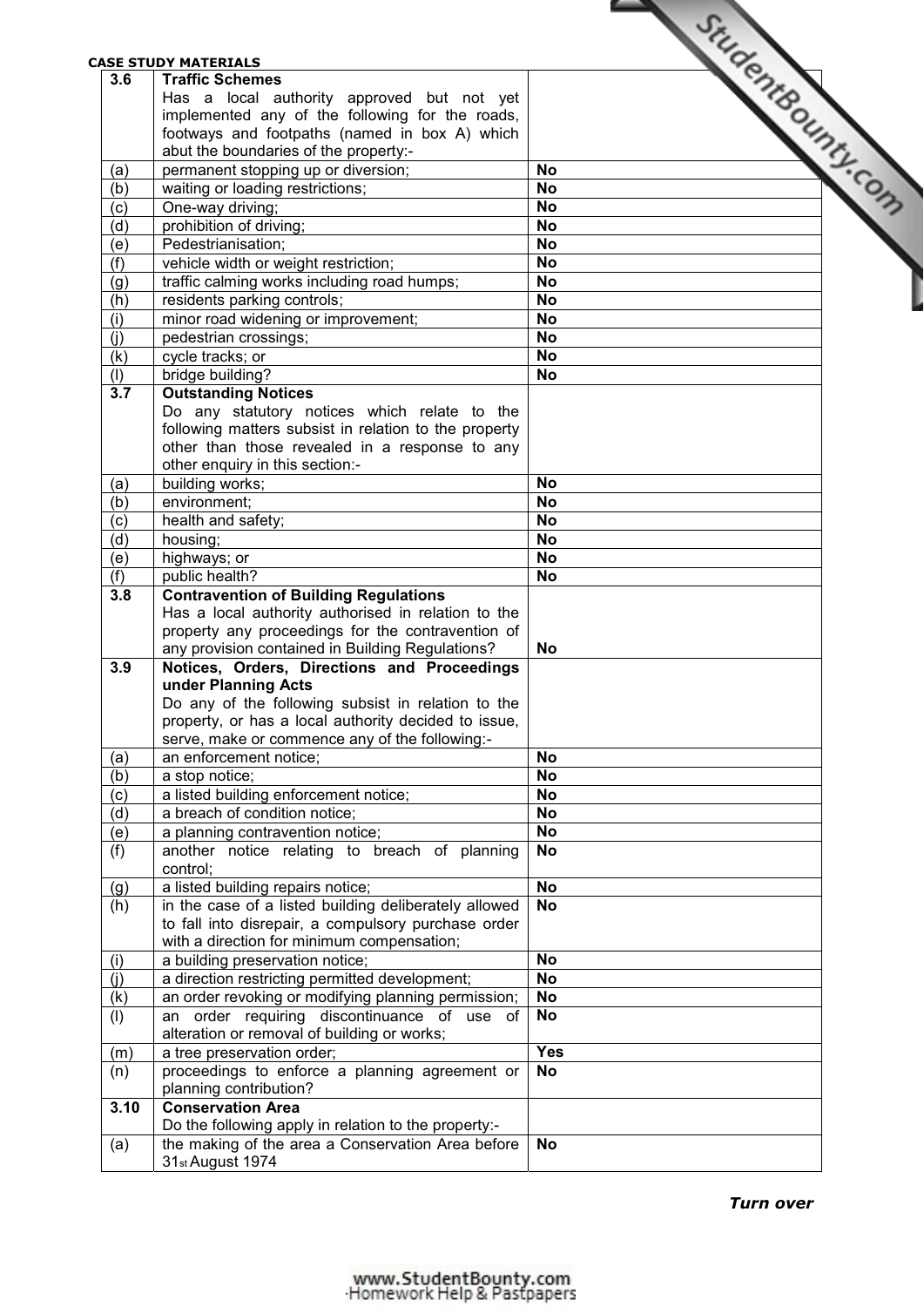|      | <b>CASE STUDY MATERIALS</b>                                                                               |                   |
|------|-----------------------------------------------------------------------------------------------------------|-------------------|
| 3.6  | <b>Traffic Schemes</b>                                                                                    | isdente dunny.com |
|      | Has a local authority approved but not yet                                                                |                   |
|      | implemented any of the following for the roads,                                                           |                   |
|      | footways and footpaths (named in box A) which                                                             |                   |
|      | abut the boundaries of the property:-                                                                     |                   |
| (a)  | permanent stopping up or diversion;                                                                       | <b>No</b>         |
| (b)  | waiting or loading restrictions;                                                                          | <b>No</b>         |
| (c)  | One-way driving;                                                                                          | <b>No</b>         |
| (d)  | prohibition of driving;                                                                                   | <b>No</b>         |
| (e)  | Pedestrianisation;                                                                                        | <b>No</b>         |
| (f)  | vehicle width or weight restriction;                                                                      | <b>No</b>         |
| (g)  | traffic calming works including road humps;                                                               | <b>No</b>         |
| (h)  | residents parking controls;                                                                               | <b>No</b>         |
| (i)  | minor road widening or improvement;                                                                       | <b>No</b>         |
| (i)  | pedestrian crossings;                                                                                     | <b>No</b>         |
| (k)  | cycle tracks; or                                                                                          | <b>No</b>         |
| (1)  | bridge building?                                                                                          | <b>No</b>         |
| 3.7  | <b>Outstanding Notices</b>                                                                                |                   |
|      | Do any statutory notices which relate to the                                                              |                   |
|      | following matters subsist in relation to the property                                                     |                   |
|      | other than those revealed in a response to any                                                            |                   |
|      | other enquiry in this section:-                                                                           |                   |
| (a)  | building works;                                                                                           | <b>No</b>         |
| (b)  | environment;                                                                                              | <b>No</b>         |
| (c)  | health and safety;                                                                                        | <b>No</b>         |
| (d)  | housing;                                                                                                  | <b>No</b>         |
| (e)  | highways; or                                                                                              | <b>No</b>         |
| (f)  | public health?                                                                                            | <b>No</b>         |
| 3.8  | <b>Contravention of Building Regulations</b>                                                              |                   |
|      | Has a local authority authorised in relation to the                                                       |                   |
|      | property any proceedings for the contravention of                                                         |                   |
|      | any provision contained in Building Regulations?                                                          | No                |
| 3.9  | Notices, Orders, Directions and Proceedings                                                               |                   |
|      | under Planning Acts                                                                                       |                   |
|      | Do any of the following subsist in relation to the                                                        |                   |
|      | property, or has a local authority decided to issue,                                                      |                   |
|      | serve, make or commence any of the following:-                                                            |                   |
| (a)  | an enforcement notice;                                                                                    | No                |
| (b)  | a stop notice;                                                                                            | No                |
| (c)  | a listed building enforcement notice;                                                                     | <b>No</b>         |
| (d)  | a breach of condition notice;                                                                             | <b>No</b>         |
| (e)  | a planning contravention notice;                                                                          | <b>No</b>         |
| (f)  | another notice relating to breach of planning                                                             | No                |
|      | control:                                                                                                  |                   |
| (g)  | a listed building repairs notice;                                                                         | <b>No</b>         |
| (h)  | in the case of a listed building deliberately allowed                                                     | <b>No</b>         |
|      | to fall into disrepair, a compulsory purchase order                                                       |                   |
|      | with a direction for minimum compensation;                                                                |                   |
| (i)  | a building preservation notice;                                                                           | <b>No</b>         |
| (i)  | a direction restricting permitted development;                                                            | <b>No</b>         |
| (k)  | an order revoking or modifying planning permission;                                                       | <b>No</b>         |
| (1)  | an order requiring discontinuance of use of                                                               | No                |
|      | alteration or removal of building or works;                                                               |                   |
| (m)  | a tree preservation order;                                                                                | <b>Yes</b>        |
| (n)  | proceedings to enforce a planning agreement or                                                            | <b>No</b>         |
|      | planning contribution?                                                                                    |                   |
|      |                                                                                                           |                   |
|      |                                                                                                           |                   |
| 3.10 | <b>Conservation Area</b>                                                                                  |                   |
| (a)  | Do the following apply in relation to the property:-<br>the making of the area a Conservation Area before | <b>No</b>         |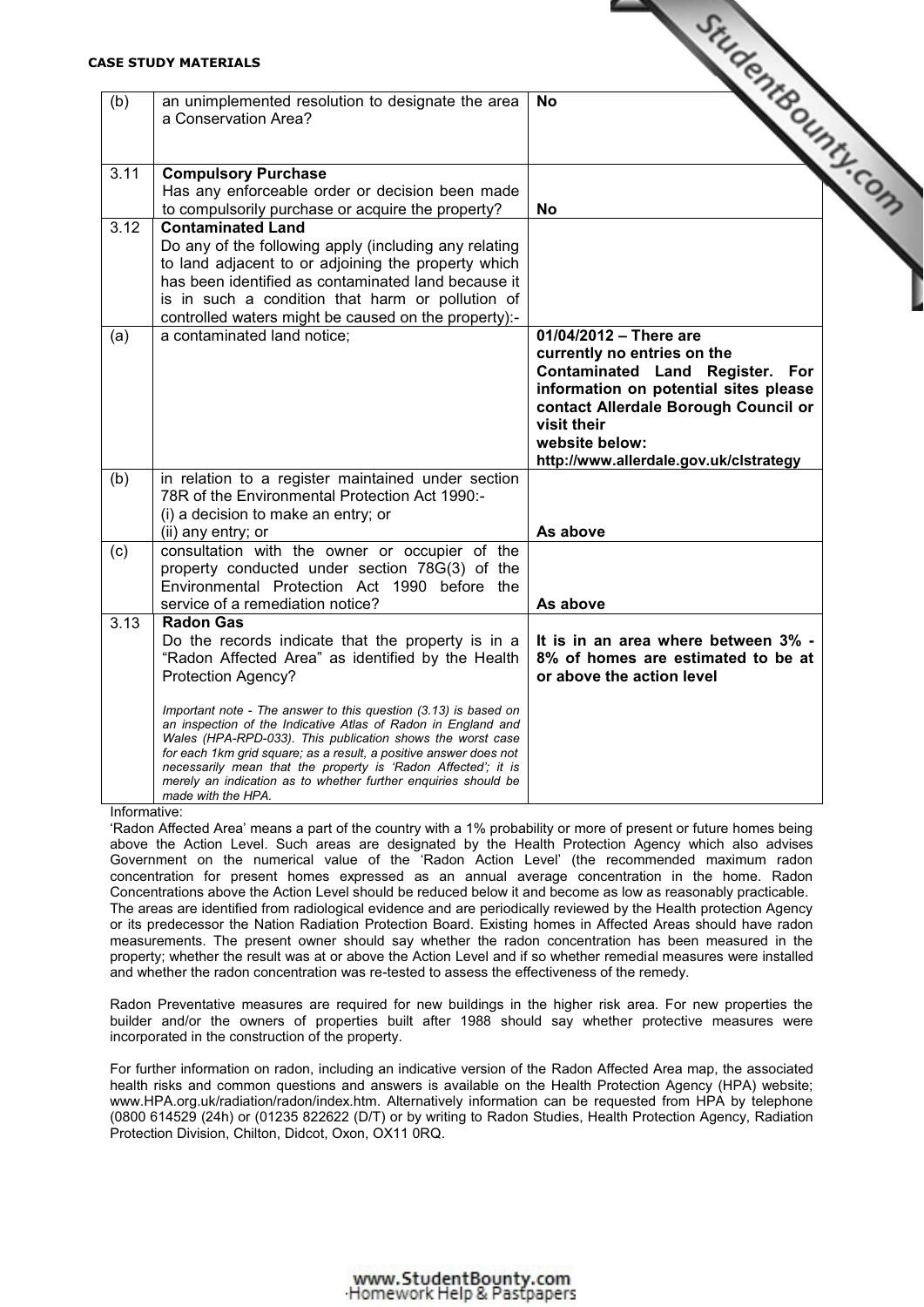|      | ASE STUDY MATERIALS                                                                                                                                                                                                                                                                                                                                                                                                          | StudentBounty.com                                                                                                                                                                                                                                    |
|------|------------------------------------------------------------------------------------------------------------------------------------------------------------------------------------------------------------------------------------------------------------------------------------------------------------------------------------------------------------------------------------------------------------------------------|------------------------------------------------------------------------------------------------------------------------------------------------------------------------------------------------------------------------------------------------------|
| (b)  | an unimplemented resolution to designate the area<br>a Conservation Area?                                                                                                                                                                                                                                                                                                                                                    | No                                                                                                                                                                                                                                                   |
| 3.11 | <b>Compulsory Purchase</b><br>Has any enforceable order or decision been made<br>to compulsorily purchase or acquire the property?                                                                                                                                                                                                                                                                                           | No                                                                                                                                                                                                                                                   |
| 3.12 | <b>Contaminated Land</b><br>Do any of the following apply (including any relating<br>to land adjacent to or adjoining the property which<br>has been identified as contaminated land because it<br>is in such a condition that harm or pollution of<br>controlled waters might be caused on the property):-                                                                                                                  |                                                                                                                                                                                                                                                      |
| (a)  | a contaminated land notice;                                                                                                                                                                                                                                                                                                                                                                                                  | 01/04/2012 - There are<br>currently no entries on the<br>Contaminated Land Register. For<br>information on potential sites please<br>contact Allerdale Borough Council or<br>visit their<br>website below:<br>http://www.allerdale.gov.uk/clstrategy |
| (b)  | in relation to a register maintained under section<br>78R of the Environmental Protection Act 1990:-<br>(i) a decision to make an entry; or<br>(ii) any entry; or                                                                                                                                                                                                                                                            | As above                                                                                                                                                                                                                                             |
| (c)  | consultation with the owner or occupier of the<br>property conducted under section 78G(3) of the<br>Environmental Protection Act 1990 before the<br>service of a remediation notice?                                                                                                                                                                                                                                         | As above                                                                                                                                                                                                                                             |
| 3.13 | <b>Radon Gas</b><br>Do the records indicate that the property is in a<br>"Radon Affected Area" as identified by the Health<br>Protection Agency?                                                                                                                                                                                                                                                                             | It is in an area where between 3% -<br>8% of homes are estimated to be at<br>or above the action level                                                                                                                                               |
|      | Important note - The answer to this question (3.13) is based on<br>an inspection of the Indicative Atlas of Radon in England and<br>Wales (HPA-RPD-033). This publication shows the worst case<br>for each 1km grid square; as a result, a positive answer does not<br>necessarily mean that the property is 'Radon Affected'; it is<br>merely an indication as to whether further enguiries should be<br>made with the HPA. |                                                                                                                                                                                                                                                      |

Informative:

'Radon Affected Area' means a part of the country with a 1% probability or more of present or future homes being above the Action Level. Such areas are designated by the Health Protection Agency which also advises Government on the numerical value of the 'Radon Action Level' (the recommended maximum radon concentration for present homes expressed as an annual average concentration in the home. Radon Concentrations above the Action Level should be reduced below it and become as low as reasonably practicable. The areas are identified from radiological evidence and are periodically reviewed by the Health protection Agency or its predecessor the Nation Radiation Protection Board. Existing homes in Affected Areas should have radon measurements. The present owner should say whether the radon concentration has been measured in the property; whether the result was at or above the Action Level and if so whether remedial measures were installed and whether the radon concentration was re-tested to assess the effectiveness of the remedy.

Radon Preventative measures are required for new buildings in the higher risk area. For new properties the builder and/or the owners of properties built after 1988 should say whether protective measures were incorporated in the construction of the property.

For further information on radon, including an indicative version of the Radon Affected Area map, the associated health risks and common questions and answers is available on the Health Protection Agency (HPA) website; www.HPA.org.uk/radiation/radon/index.htm. Alternatively information can be requested from HPA by telephone (0800 614529 (24h) or (01235 822622 (D/T) or by writing to Radon Studies, Health Protection Agency, Radiation Protection Division, Chilton, Didcot, Oxon, OX11 0RQ.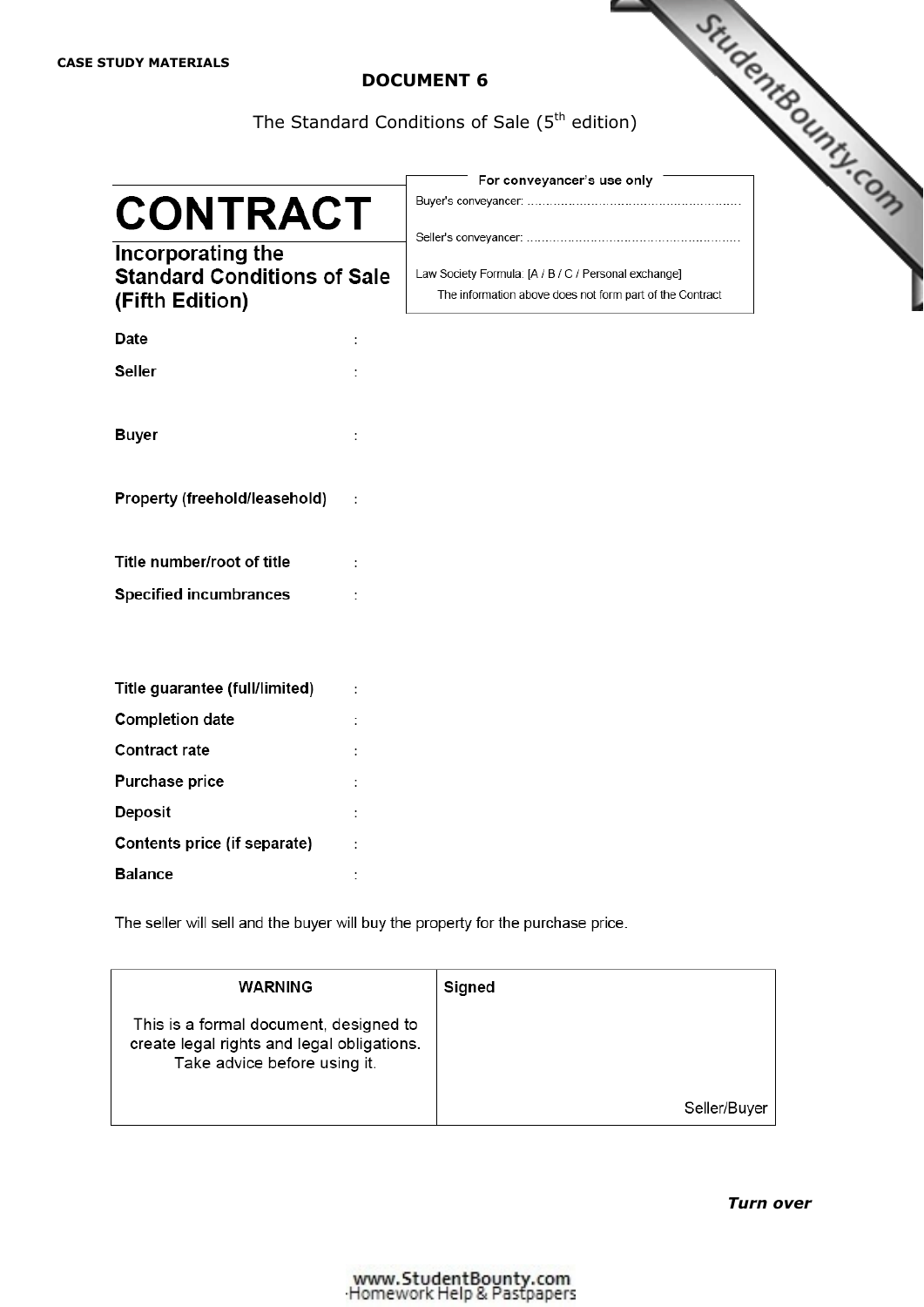| <b><i>FUDY MATERIALS</i></b>                                               |                      | <b>DOCUMENT 6</b>                                                                                                |
|----------------------------------------------------------------------------|----------------------|------------------------------------------------------------------------------------------------------------------|
|                                                                            |                      | sugentsounts.com<br>The Standard Conditions of Sale (5 <sup>th</sup> edition)                                    |
|                                                                            |                      | For conveyancer's use only                                                                                       |
| <b>CONTRACT</b>                                                            |                      |                                                                                                                  |
| Incorporating the<br><b>Standard Conditions of Sale</b><br>(Fifth Edition) |                      | Law Society Formula: [A / B / C / Personal exchange]<br>The information above does not form part of the Contract |
| Date                                                                       |                      |                                                                                                                  |
| <b>Seller</b>                                                              |                      |                                                                                                                  |
| <b>Buyer</b>                                                               |                      |                                                                                                                  |
| Property (freehold/leasehold)                                              | $\ddot{\phantom{a}}$ |                                                                                                                  |
| Title number/root of title                                                 |                      |                                                                                                                  |
| <b>Specified incumbrances</b>                                              |                      |                                                                                                                  |
|                                                                            |                      |                                                                                                                  |
| Title guarantee (full/limited)                                             |                      |                                                                                                                  |
| <b>Completion date</b>                                                     |                      |                                                                                                                  |
| <b>Contract rate</b>                                                       |                      |                                                                                                                  |
| Purchase price                                                             |                      |                                                                                                                  |
| <b>Deposit</b>                                                             |                      |                                                                                                                  |
| Contents price (if separate)                                               |                      |                                                                                                                  |
| <b>Balance</b>                                                             |                      |                                                                                                                  |

The seller will sell and the buyer will buy the property for the purchase price.

| WARNING                                                                                                              | Signed       |
|----------------------------------------------------------------------------------------------------------------------|--------------|
| This is a formal document, designed to<br>create legal rights and legal obligations.<br>Take advice before using it. |              |
|                                                                                                                      | Seller/Buyer |